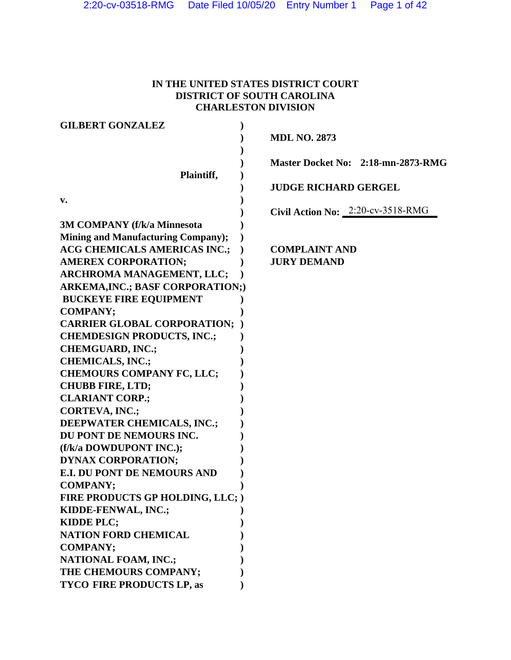# **IN THE UNITED STATES DISTRICT COURT DISTRICT OF SOUTH CAROLINA CHARLESTON DIVISION**

| <b>GILBERT GONZALEZ</b>                   |                                    |
|-------------------------------------------|------------------------------------|
|                                           | <b>MDL NO. 2873</b>                |
|                                           |                                    |
|                                           | Master Docket No: 2:18-mn-2873-RMG |
| Plaintiff,                                |                                    |
|                                           | <b>JUDGE RICHARD GERGEL</b>        |
| v.                                        |                                    |
|                                           | Civil Action No: 2:20-cv-3518-RMG  |
| <b>3M COMPANY (f/k/a Minnesota</b>        |                                    |
| <b>Mining and Manufacturing Company);</b> |                                    |
| <b>ACG CHEMICALS AMERICAS INC.;</b>       | <b>COMPLAINT AND</b>               |
| <b>AMEREX CORPORATION;</b>                | <b>JURY DEMAND</b>                 |
| ARCHROMA MANAGEMENT, LLC;                 |                                    |
| <b>ARKEMA, INC.; BASF CORPORATION;)</b>   |                                    |
| <b>BUCKEYE FIRE EQUIPMENT</b>             |                                    |
| <b>COMPANY;</b>                           |                                    |
| <b>CARRIER GLOBAL CORPORATION;</b>        |                                    |
| <b>CHEMDESIGN PRODUCTS, INC.;</b>         |                                    |
| <b>CHEMGUARD, INC.;</b>                   |                                    |
| <b>CHEMICALS, INC.;</b>                   |                                    |
| <b>CHEMOURS COMPANY FC, LLC;</b>          |                                    |
| <b>CHUBB FIRE, LTD;</b>                   |                                    |
| <b>CLARIANT CORP.;</b>                    |                                    |
| <b>CORTEVA, INC.;</b>                     |                                    |
| DEEPWATER CHEMICALS, INC.;                |                                    |
| DU PONT DE NEMOURS INC.                   |                                    |
| (f/k/a DOWDUPONT INC.);                   |                                    |
| <b>DYNAX CORPORATION;</b>                 |                                    |
| <b>E.I. DU PONT DE NEMOURS AND</b>        |                                    |
| <b>COMPANY;</b>                           |                                    |
| FIRE PRODUCTS GP HOLDING, LLC; )          |                                    |
| KIDDE-FENWAL, INC.;                       |                                    |
| KIDDE PLC;                                |                                    |
| <b>NATION FORD CHEMICAL</b>               |                                    |
| <b>COMPANY;</b>                           |                                    |
| <b>NATIONAL FOAM, INC.;</b>               |                                    |
| THE CHEMOURS COMPANY;                     |                                    |
| <b>TYCO FIRE PRODUCTS LP, as</b>          |                                    |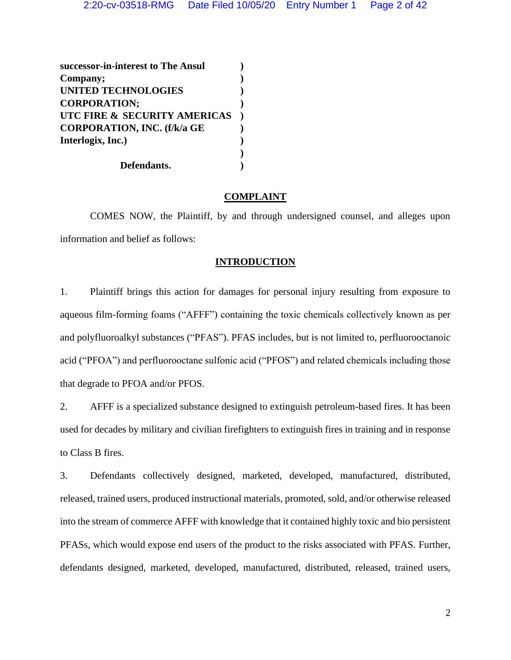**successor-in-interest to The Ansul ) Company; ) UNITED TECHNOLOGIES ) CORPORATION; ) UTC FIRE & SECURITY AMERICAS ) CORPORATION, INC. (f/k/a GE ) Interlogix, Inc.) ) ) Defendants. )**

# **COMPLAINT**

COMES NOW, the Plaintiff, by and through undersigned counsel, and alleges upon information and belief as follows:

# **INTRODUCTION**

1. Plaintiff brings this action for damages for personal injury resulting from exposure to aqueous film-forming foams ("AFFF") containing the toxic chemicals collectively known as per and polyfluoroalkyl substances ("PFAS"). PFAS includes, but is not limited to, perfluorooctanoic acid ("PFOA") and perfluorooctane sulfonic acid ("PFOS") and related chemicals including those that degrade to PFOA and/or PFOS.

2. AFFF is a specialized substance designed to extinguish petroleum-based fires. It has been used for decades by military and civilian firefighters to extinguish fires in training and in response to Class B fires.

3. Defendants collectively designed, marketed, developed, manufactured, distributed, released, trained users, produced instructional materials, promoted, sold, and/or otherwise released into the stream of commerce AFFF with knowledge that it contained highly toxic and bio persistent PFASs, which would expose end users of the product to the risks associated with PFAS. Further, defendants designed, marketed, developed, manufactured, distributed, released, trained users,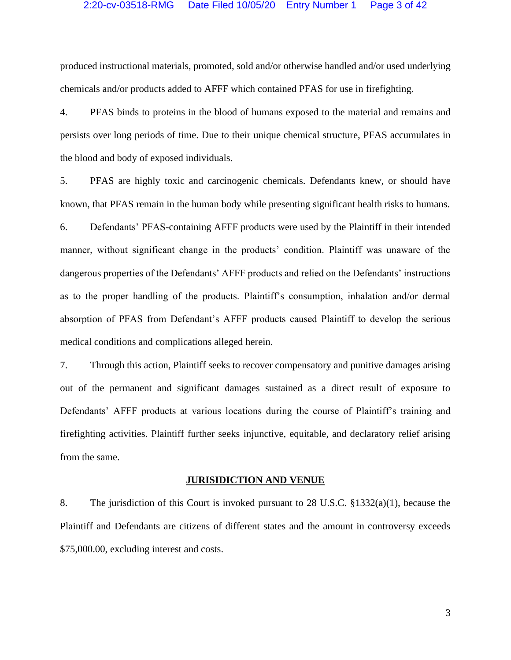produced instructional materials, promoted, sold and/or otherwise handled and/or used underlying chemicals and/or products added to AFFF which contained PFAS for use in firefighting.

4. PFAS binds to proteins in the blood of humans exposed to the material and remains and persists over long periods of time. Due to their unique chemical structure, PFAS accumulates in the blood and body of exposed individuals.

5. PFAS are highly toxic and carcinogenic chemicals. Defendants knew, or should have known, that PFAS remain in the human body while presenting significant health risks to humans.

6. Defendants' PFAS-containing AFFF products were used by the Plaintiff in their intended manner, without significant change in the products' condition. Plaintiff was unaware of the dangerous properties of the Defendants' AFFF products and relied on the Defendants' instructions as to the proper handling of the products. Plaintiff's consumption, inhalation and/or dermal absorption of PFAS from Defendant's AFFF products caused Plaintiff to develop the serious medical conditions and complications alleged herein.

7. Through this action, Plaintiff seeks to recover compensatory and punitive damages arising out of the permanent and significant damages sustained as a direct result of exposure to Defendants' AFFF products at various locations during the course of Plaintiff's training and firefighting activities. Plaintiff further seeks injunctive, equitable, and declaratory relief arising from the same.

#### **JURISIDICTION AND VENUE**

8. The jurisdiction of this Court is invoked pursuant to 28 U.S.C. §1332(a)(1), because the Plaintiff and Defendants are citizens of different states and the amount in controversy exceeds \$75,000.00, excluding interest and costs.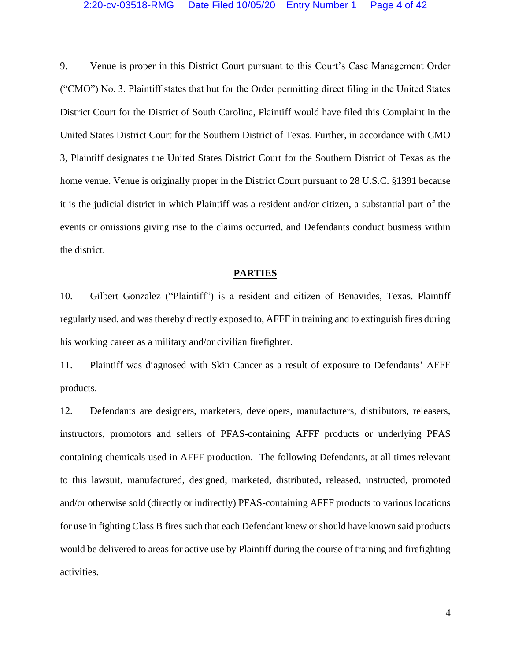9. Venue is proper in this District Court pursuant to this Court's Case Management Order ("CMO") No. 3. Plaintiff states that but for the Order permitting direct filing in the United States District Court for the District of South Carolina, Plaintiff would have filed this Complaint in the United States District Court for the Southern District of Texas. Further, in accordance with CMO 3, Plaintiff designates the United States District Court for the Southern District of Texas as the home venue. Venue is originally proper in the District Court pursuant to 28 U.S.C. §1391 because it is the judicial district in which Plaintiff was a resident and/or citizen, a substantial part of the events or omissions giving rise to the claims occurred, and Defendants conduct business within the district.

#### **PARTIES**

10. Gilbert Gonzalez ("Plaintiff") is a resident and citizen of Benavides, Texas. Plaintiff regularly used, and was thereby directly exposed to, AFFF in training and to extinguish fires during his working career as a military and/or civilian firefighter.

11. Plaintiff was diagnosed with Skin Cancer as a result of exposure to Defendants' AFFF products.

12. Defendants are designers, marketers, developers, manufacturers, distributors, releasers, instructors, promotors and sellers of PFAS-containing AFFF products or underlying PFAS containing chemicals used in AFFF production. The following Defendants, at all times relevant to this lawsuit, manufactured, designed, marketed, distributed, released, instructed, promoted and/or otherwise sold (directly or indirectly) PFAS-containing AFFF products to various locations for use in fighting Class B fires such that each Defendant knew or should have known said products would be delivered to areas for active use by Plaintiff during the course of training and firefighting activities.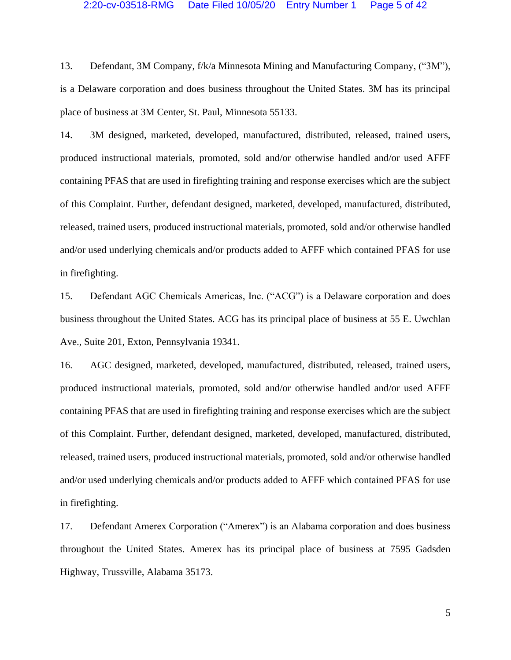13. Defendant, 3M Company, f/k/a Minnesota Mining and Manufacturing Company, ("3M"), is a Delaware corporation and does business throughout the United States. 3M has its principal place of business at 3M Center, St. Paul, Minnesota 55133.

14. 3M designed, marketed, developed, manufactured, distributed, released, trained users, produced instructional materials, promoted, sold and/or otherwise handled and/or used AFFF containing PFAS that are used in firefighting training and response exercises which are the subject of this Complaint. Further, defendant designed, marketed, developed, manufactured, distributed, released, trained users, produced instructional materials, promoted, sold and/or otherwise handled and/or used underlying chemicals and/or products added to AFFF which contained PFAS for use in firefighting.

15. Defendant AGC Chemicals Americas, Inc. ("ACG") is a Delaware corporation and does business throughout the United States. ACG has its principal place of business at 55 E. Uwchlan Ave., Suite 201, Exton, Pennsylvania 19341.

16. AGC designed, marketed, developed, manufactured, distributed, released, trained users, produced instructional materials, promoted, sold and/or otherwise handled and/or used AFFF containing PFAS that are used in firefighting training and response exercises which are the subject of this Complaint. Further, defendant designed, marketed, developed, manufactured, distributed, released, trained users, produced instructional materials, promoted, sold and/or otherwise handled and/or used underlying chemicals and/or products added to AFFF which contained PFAS for use in firefighting.

17. Defendant Amerex Corporation ("Amerex") is an Alabama corporation and does business throughout the United States. Amerex has its principal place of business at 7595 Gadsden Highway, Trussville, Alabama 35173.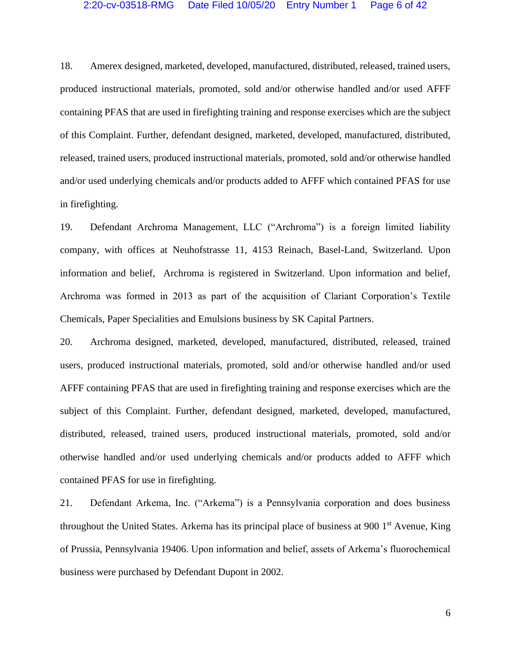18. Amerex designed, marketed, developed, manufactured, distributed, released, trained users, produced instructional materials, promoted, sold and/or otherwise handled and/or used AFFF containing PFAS that are used in firefighting training and response exercises which are the subject of this Complaint. Further, defendant designed, marketed, developed, manufactured, distributed, released, trained users, produced instructional materials, promoted, sold and/or otherwise handled and/or used underlying chemicals and/or products added to AFFF which contained PFAS for use in firefighting.

19. Defendant Archroma Management, LLC ("Archroma") is a foreign limited liability company, with offices at Neuhofstrasse 11, 4153 Reinach, Basel-Land, Switzerland. Upon information and belief, Archroma is registered in Switzerland. Upon information and belief, Archroma was formed in 2013 as part of the acquisition of Clariant Corporation's Textile Chemicals, Paper Specialities and Emulsions business by SK Capital Partners.

20. Archroma designed, marketed, developed, manufactured, distributed, released, trained users, produced instructional materials, promoted, sold and/or otherwise handled and/or used AFFF containing PFAS that are used in firefighting training and response exercises which are the subject of this Complaint. Further, defendant designed, marketed, developed, manufactured, distributed, released, trained users, produced instructional materials, promoted, sold and/or otherwise handled and/or used underlying chemicals and/or products added to AFFF which contained PFAS for use in firefighting.

21. Defendant Arkema, Inc. ("Arkema") is a Pennsylvania corporation and does business throughout the United States. Arkema has its principal place of business at 900 1<sup>st</sup> Avenue, King of Prussia, Pennsylvania 19406. Upon information and belief, assets of Arkema's fluorochemical business were purchased by Defendant Dupont in 2002.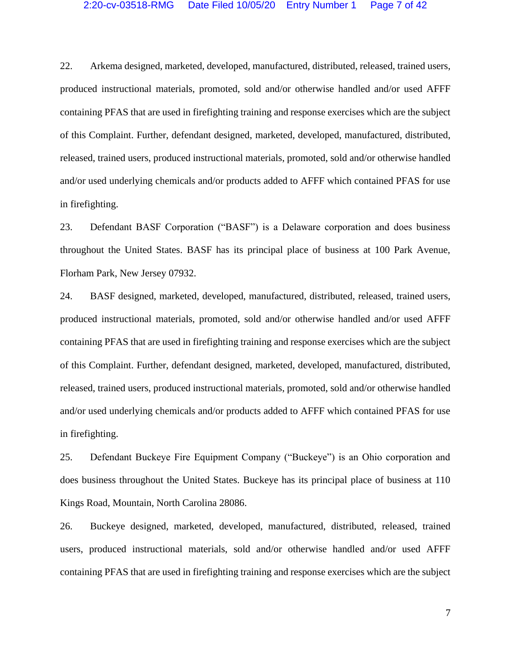22. Arkema designed, marketed, developed, manufactured, distributed, released, trained users, produced instructional materials, promoted, sold and/or otherwise handled and/or used AFFF containing PFAS that are used in firefighting training and response exercises which are the subject of this Complaint. Further, defendant designed, marketed, developed, manufactured, distributed, released, trained users, produced instructional materials, promoted, sold and/or otherwise handled and/or used underlying chemicals and/or products added to AFFF which contained PFAS for use in firefighting.

23. Defendant BASF Corporation ("BASF") is a Delaware corporation and does business throughout the United States. BASF has its principal place of business at 100 Park Avenue, Florham Park, New Jersey 07932.

24. BASF designed, marketed, developed, manufactured, distributed, released, trained users, produced instructional materials, promoted, sold and/or otherwise handled and/or used AFFF containing PFAS that are used in firefighting training and response exercises which are the subject of this Complaint. Further, defendant designed, marketed, developed, manufactured, distributed, released, trained users, produced instructional materials, promoted, sold and/or otherwise handled and/or used underlying chemicals and/or products added to AFFF which contained PFAS for use in firefighting.

25. Defendant Buckeye Fire Equipment Company ("Buckeye") is an Ohio corporation and does business throughout the United States. Buckeye has its principal place of business at 110 Kings Road, Mountain, North Carolina 28086.

26. Buckeye designed, marketed, developed, manufactured, distributed, released, trained users, produced instructional materials, sold and/or otherwise handled and/or used AFFF containing PFAS that are used in firefighting training and response exercises which are the subject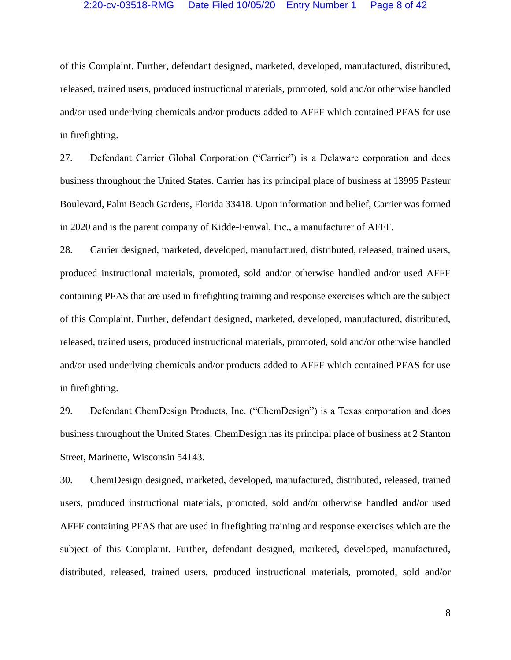# 2:20-cv-03518-RMG Date Filed 10/05/20 Entry Number 1 Page 8 of 42

of this Complaint. Further, defendant designed, marketed, developed, manufactured, distributed, released, trained users, produced instructional materials, promoted, sold and/or otherwise handled and/or used underlying chemicals and/or products added to AFFF which contained PFAS for use in firefighting.

27. Defendant Carrier Global Corporation ("Carrier") is a Delaware corporation and does business throughout the United States. Carrier has its principal place of business at 13995 Pasteur Boulevard, Palm Beach Gardens, Florida 33418. Upon information and belief, Carrier was formed in 2020 and is the parent company of Kidde-Fenwal, Inc., a manufacturer of AFFF.

28. Carrier designed, marketed, developed, manufactured, distributed, released, trained users, produced instructional materials, promoted, sold and/or otherwise handled and/or used AFFF containing PFAS that are used in firefighting training and response exercises which are the subject of this Complaint. Further, defendant designed, marketed, developed, manufactured, distributed, released, trained users, produced instructional materials, promoted, sold and/or otherwise handled and/or used underlying chemicals and/or products added to AFFF which contained PFAS for use in firefighting.

29. Defendant ChemDesign Products, Inc. ("ChemDesign") is a Texas corporation and does business throughout the United States. ChemDesign has its principal place of business at 2 Stanton Street, Marinette, Wisconsin 54143.

30. ChemDesign designed, marketed, developed, manufactured, distributed, released, trained users, produced instructional materials, promoted, sold and/or otherwise handled and/or used AFFF containing PFAS that are used in firefighting training and response exercises which are the subject of this Complaint. Further, defendant designed, marketed, developed, manufactured, distributed, released, trained users, produced instructional materials, promoted, sold and/or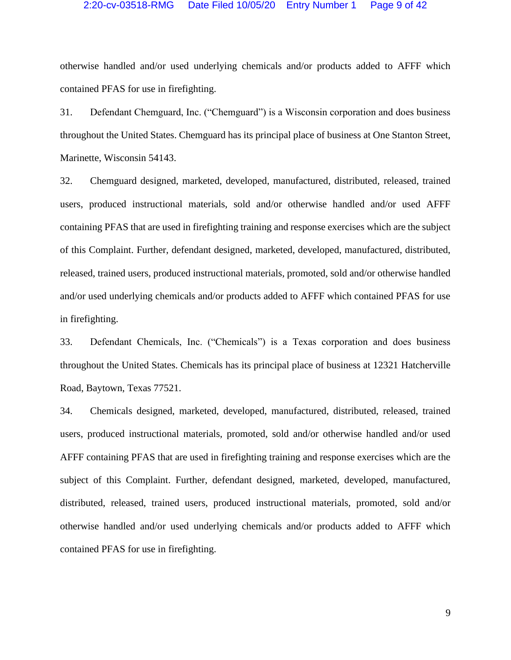# 2:20-cv-03518-RMG Date Filed 10/05/20 Entry Number 1 Page 9 of 42

otherwise handled and/or used underlying chemicals and/or products added to AFFF which contained PFAS for use in firefighting.

31. Defendant Chemguard, Inc. ("Chemguard") is a Wisconsin corporation and does business throughout the United States. Chemguard has its principal place of business at One Stanton Street, Marinette, Wisconsin 54143.

32. Chemguard designed, marketed, developed, manufactured, distributed, released, trained users, produced instructional materials, sold and/or otherwise handled and/or used AFFF containing PFAS that are used in firefighting training and response exercises which are the subject of this Complaint. Further, defendant designed, marketed, developed, manufactured, distributed, released, trained users, produced instructional materials, promoted, sold and/or otherwise handled and/or used underlying chemicals and/or products added to AFFF which contained PFAS for use in firefighting.

33. Defendant Chemicals, Inc. ("Chemicals") is a Texas corporation and does business throughout the United States. Chemicals has its principal place of business at 12321 Hatcherville Road, Baytown, Texas 77521.

34. Chemicals designed, marketed, developed, manufactured, distributed, released, trained users, produced instructional materials, promoted, sold and/or otherwise handled and/or used AFFF containing PFAS that are used in firefighting training and response exercises which are the subject of this Complaint. Further, defendant designed, marketed, developed, manufactured, distributed, released, trained users, produced instructional materials, promoted, sold and/or otherwise handled and/or used underlying chemicals and/or products added to AFFF which contained PFAS for use in firefighting.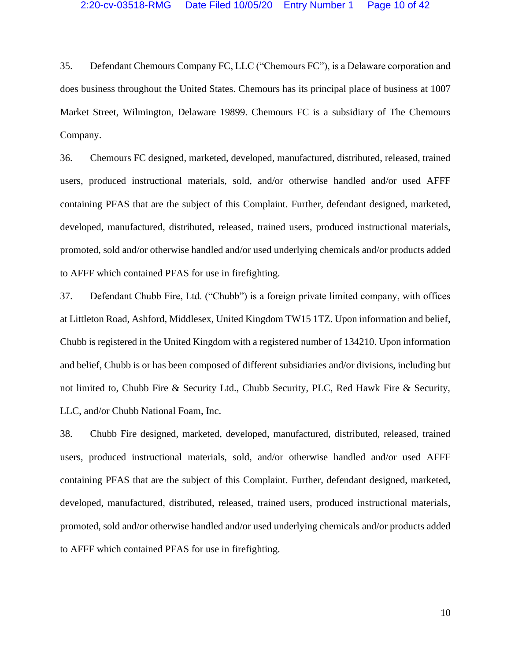35. Defendant Chemours Company FC, LLC ("Chemours FC"), is a Delaware corporation and does business throughout the United States. Chemours has its principal place of business at 1007 Market Street, Wilmington, Delaware 19899. Chemours FC is a subsidiary of The Chemours Company.

36. Chemours FC designed, marketed, developed, manufactured, distributed, released, trained users, produced instructional materials, sold, and/or otherwise handled and/or used AFFF containing PFAS that are the subject of this Complaint. Further, defendant designed, marketed, developed, manufactured, distributed, released, trained users, produced instructional materials, promoted, sold and/or otherwise handled and/or used underlying chemicals and/or products added to AFFF which contained PFAS for use in firefighting.

37. Defendant Chubb Fire, Ltd. ("Chubb") is a foreign private limited company, with offices at Littleton Road, Ashford, Middlesex, United Kingdom TW15 1TZ. Upon information and belief, Chubb is registered in the United Kingdom with a registered number of 134210. Upon information and belief, Chubb is or has been composed of different subsidiaries and/or divisions, including but not limited to, Chubb Fire & Security Ltd., Chubb Security, PLC, Red Hawk Fire & Security, LLC, and/or Chubb National Foam, Inc.

38. Chubb Fire designed, marketed, developed, manufactured, distributed, released, trained users, produced instructional materials, sold, and/or otherwise handled and/or used AFFF containing PFAS that are the subject of this Complaint. Further, defendant designed, marketed, developed, manufactured, distributed, released, trained users, produced instructional materials, promoted, sold and/or otherwise handled and/or used underlying chemicals and/or products added to AFFF which contained PFAS for use in firefighting.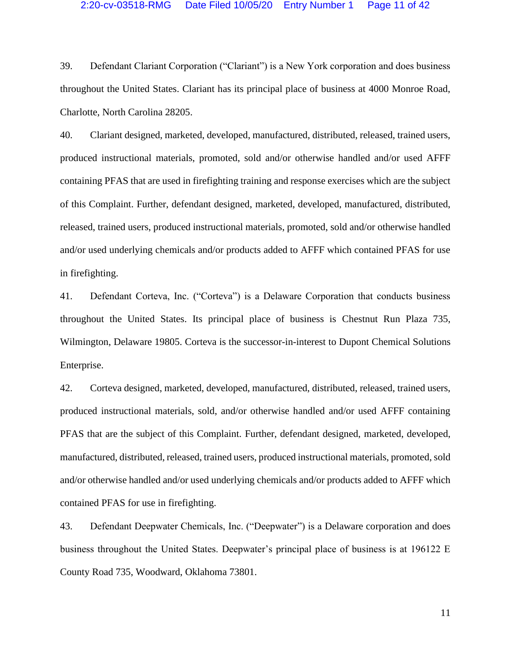# 2:20-cv-03518-RMG Date Filed 10/05/20 Entry Number 1 Page 11 of 42

39. Defendant Clariant Corporation ("Clariant") is a New York corporation and does business throughout the United States. Clariant has its principal place of business at 4000 Monroe Road, Charlotte, North Carolina 28205.

40. Clariant designed, marketed, developed, manufactured, distributed, released, trained users, produced instructional materials, promoted, sold and/or otherwise handled and/or used AFFF containing PFAS that are used in firefighting training and response exercises which are the subject of this Complaint. Further, defendant designed, marketed, developed, manufactured, distributed, released, trained users, produced instructional materials, promoted, sold and/or otherwise handled and/or used underlying chemicals and/or products added to AFFF which contained PFAS for use in firefighting.

41. Defendant Corteva, Inc. ("Corteva") is a Delaware Corporation that conducts business throughout the United States. Its principal place of business is Chestnut Run Plaza 735, Wilmington, Delaware 19805. Corteva is the successor-in-interest to Dupont Chemical Solutions Enterprise.

42. Corteva designed, marketed, developed, manufactured, distributed, released, trained users, produced instructional materials, sold, and/or otherwise handled and/or used AFFF containing PFAS that are the subject of this Complaint. Further, defendant designed, marketed, developed, manufactured, distributed, released, trained users, produced instructional materials, promoted, sold and/or otherwise handled and/or used underlying chemicals and/or products added to AFFF which contained PFAS for use in firefighting.

43. Defendant Deepwater Chemicals, Inc. ("Deepwater") is a Delaware corporation and does business throughout the United States. Deepwater's principal place of business is at 196122 E County Road 735, Woodward, Oklahoma 73801.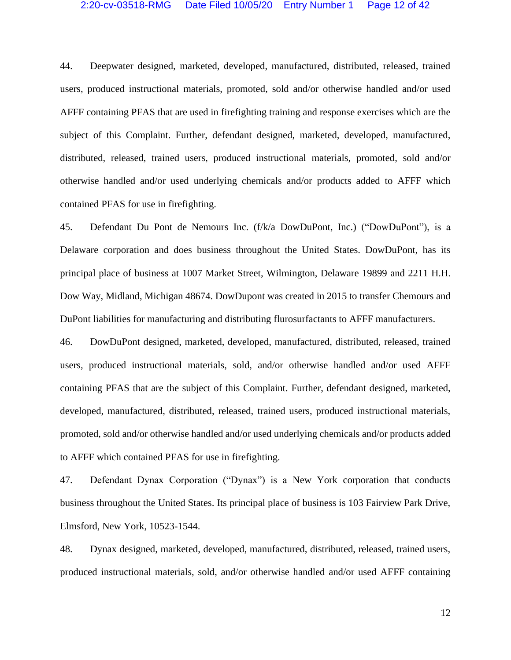## 2:20-cv-03518-RMG Date Filed 10/05/20 Entry Number 1 Page 12 of 42

44. Deepwater designed, marketed, developed, manufactured, distributed, released, trained users, produced instructional materials, promoted, sold and/or otherwise handled and/or used AFFF containing PFAS that are used in firefighting training and response exercises which are the subject of this Complaint. Further, defendant designed, marketed, developed, manufactured, distributed, released, trained users, produced instructional materials, promoted, sold and/or otherwise handled and/or used underlying chemicals and/or products added to AFFF which contained PFAS for use in firefighting.

45. Defendant Du Pont de Nemours Inc. (f/k/a DowDuPont, Inc.) ("DowDuPont"), is a Delaware corporation and does business throughout the United States. DowDuPont, has its principal place of business at 1007 Market Street, Wilmington, Delaware 19899 and 2211 H.H. Dow Way, Midland, Michigan 48674. DowDupont was created in 2015 to transfer Chemours and DuPont liabilities for manufacturing and distributing flurosurfactants to AFFF manufacturers.

46. DowDuPont designed, marketed, developed, manufactured, distributed, released, trained users, produced instructional materials, sold, and/or otherwise handled and/or used AFFF containing PFAS that are the subject of this Complaint. Further, defendant designed, marketed, developed, manufactured, distributed, released, trained users, produced instructional materials, promoted, sold and/or otherwise handled and/or used underlying chemicals and/or products added to AFFF which contained PFAS for use in firefighting.

47. Defendant Dynax Corporation ("Dynax") is a New York corporation that conducts business throughout the United States. Its principal place of business is 103 Fairview Park Drive, Elmsford, New York, 10523-1544.

48. Dynax designed, marketed, developed, manufactured, distributed, released, trained users, produced instructional materials, sold, and/or otherwise handled and/or used AFFF containing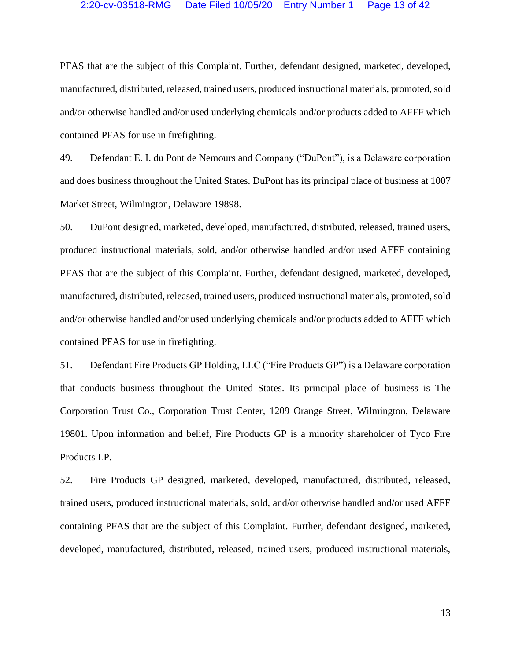# 2:20-cv-03518-RMG Date Filed 10/05/20 Entry Number 1 Page 13 of 42

PFAS that are the subject of this Complaint. Further, defendant designed, marketed, developed, manufactured, distributed, released, trained users, produced instructional materials, promoted, sold and/or otherwise handled and/or used underlying chemicals and/or products added to AFFF which contained PFAS for use in firefighting.

49. Defendant E. I. du Pont de Nemours and Company ("DuPont"), is a Delaware corporation and does business throughout the United States. DuPont has its principal place of business at 1007 Market Street, Wilmington, Delaware 19898.

50. DuPont designed, marketed, developed, manufactured, distributed, released, trained users, produced instructional materials, sold, and/or otherwise handled and/or used AFFF containing PFAS that are the subject of this Complaint. Further, defendant designed, marketed, developed, manufactured, distributed, released, trained users, produced instructional materials, promoted, sold and/or otherwise handled and/or used underlying chemicals and/or products added to AFFF which contained PFAS for use in firefighting.

51. Defendant Fire Products GP Holding, LLC ("Fire Products GP") is a Delaware corporation that conducts business throughout the United States. Its principal place of business is The Corporation Trust Co., Corporation Trust Center, 1209 Orange Street, Wilmington, Delaware 19801. Upon information and belief, Fire Products GP is a minority shareholder of Tyco Fire Products LP.

52. Fire Products GP designed, marketed, developed, manufactured, distributed, released, trained users, produced instructional materials, sold, and/or otherwise handled and/or used AFFF containing PFAS that are the subject of this Complaint. Further, defendant designed, marketed, developed, manufactured, distributed, released, trained users, produced instructional materials,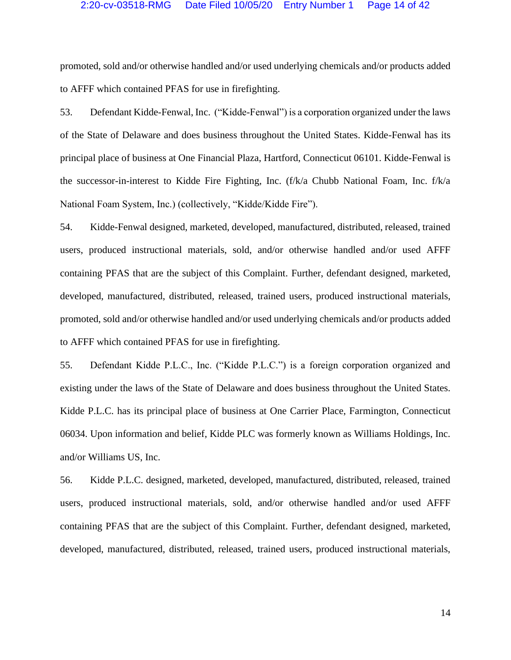# 2:20-cv-03518-RMG Date Filed 10/05/20 Entry Number 1 Page 14 of 42

promoted, sold and/or otherwise handled and/or used underlying chemicals and/or products added to AFFF which contained PFAS for use in firefighting.

53. Defendant Kidde-Fenwal, Inc. ("Kidde-Fenwal") is a corporation organized under the laws of the State of Delaware and does business throughout the United States. Kidde-Fenwal has its principal place of business at One Financial Plaza, Hartford, Connecticut 06101. Kidde-Fenwal is the successor-in-interest to Kidde Fire Fighting, Inc. (f/k/a Chubb National Foam, Inc. f/k/a National Foam System, Inc.) (collectively, "Kidde/Kidde Fire").

54. Kidde-Fenwal designed, marketed, developed, manufactured, distributed, released, trained users, produced instructional materials, sold, and/or otherwise handled and/or used AFFF containing PFAS that are the subject of this Complaint. Further, defendant designed, marketed, developed, manufactured, distributed, released, trained users, produced instructional materials, promoted, sold and/or otherwise handled and/or used underlying chemicals and/or products added to AFFF which contained PFAS for use in firefighting.

55. Defendant Kidde P.L.C., Inc. ("Kidde P.L.C.") is a foreign corporation organized and existing under the laws of the State of Delaware and does business throughout the United States. Kidde P.L.C. has its principal place of business at One Carrier Place, Farmington, Connecticut 06034. Upon information and belief, Kidde PLC was formerly known as Williams Holdings, Inc. and/or Williams US, Inc.

56. Kidde P.L.C. designed, marketed, developed, manufactured, distributed, released, trained users, produced instructional materials, sold, and/or otherwise handled and/or used AFFF containing PFAS that are the subject of this Complaint. Further, defendant designed, marketed, developed, manufactured, distributed, released, trained users, produced instructional materials,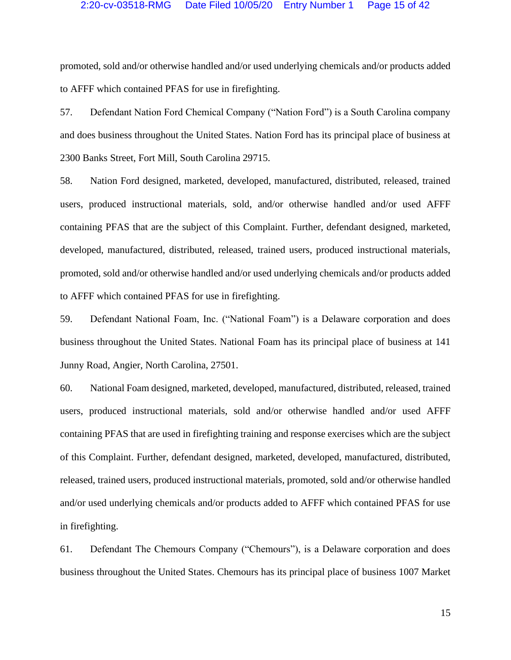# 2:20-cv-03518-RMG Date Filed 10/05/20 Entry Number 1 Page 15 of 42

promoted, sold and/or otherwise handled and/or used underlying chemicals and/or products added to AFFF which contained PFAS for use in firefighting.

57. Defendant Nation Ford Chemical Company ("Nation Ford") is a South Carolina company and does business throughout the United States. Nation Ford has its principal place of business at 2300 Banks Street, Fort Mill, South Carolina 29715.

58. Nation Ford designed, marketed, developed, manufactured, distributed, released, trained users, produced instructional materials, sold, and/or otherwise handled and/or used AFFF containing PFAS that are the subject of this Complaint. Further, defendant designed, marketed, developed, manufactured, distributed, released, trained users, produced instructional materials, promoted, sold and/or otherwise handled and/or used underlying chemicals and/or products added to AFFF which contained PFAS for use in firefighting.

59. Defendant National Foam, Inc. ("National Foam") is a Delaware corporation and does business throughout the United States. National Foam has its principal place of business at 141 Junny Road, Angier, North Carolina, 27501.

60. National Foam designed, marketed, developed, manufactured, distributed, released, trained users, produced instructional materials, sold and/or otherwise handled and/or used AFFF containing PFAS that are used in firefighting training and response exercises which are the subject of this Complaint. Further, defendant designed, marketed, developed, manufactured, distributed, released, trained users, produced instructional materials, promoted, sold and/or otherwise handled and/or used underlying chemicals and/or products added to AFFF which contained PFAS for use in firefighting.

61. Defendant The Chemours Company ("Chemours"), is a Delaware corporation and does business throughout the United States. Chemours has its principal place of business 1007 Market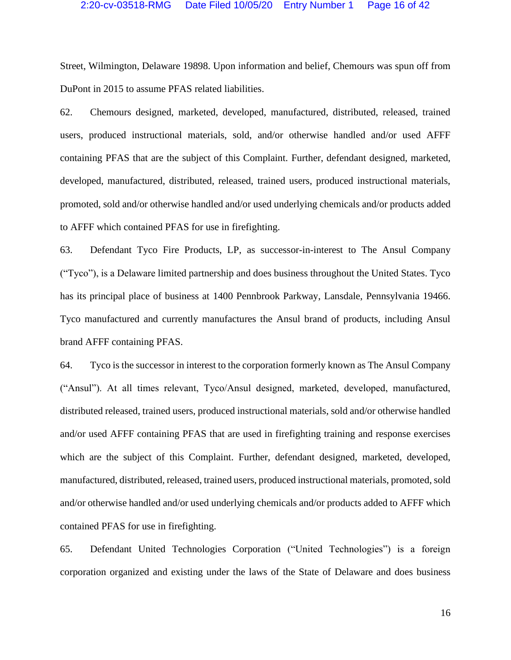Street, Wilmington, Delaware 19898. Upon information and belief, Chemours was spun off from DuPont in 2015 to assume PFAS related liabilities.

62. Chemours designed, marketed, developed, manufactured, distributed, released, trained users, produced instructional materials, sold, and/or otherwise handled and/or used AFFF containing PFAS that are the subject of this Complaint. Further, defendant designed, marketed, developed, manufactured, distributed, released, trained users, produced instructional materials, promoted, sold and/or otherwise handled and/or used underlying chemicals and/or products added to AFFF which contained PFAS for use in firefighting.

63. Defendant Tyco Fire Products, LP, as successor-in-interest to The Ansul Company ("Tyco"), is a Delaware limited partnership and does business throughout the United States. Tyco has its principal place of business at 1400 Pennbrook Parkway, Lansdale, Pennsylvania 19466. Tyco manufactured and currently manufactures the Ansul brand of products, including Ansul brand AFFF containing PFAS.

64. Tyco is the successor in interest to the corporation formerly known as The Ansul Company ("Ansul"). At all times relevant, Tyco/Ansul designed, marketed, developed, manufactured, distributed released, trained users, produced instructional materials, sold and/or otherwise handled and/or used AFFF containing PFAS that are used in firefighting training and response exercises which are the subject of this Complaint. Further, defendant designed, marketed, developed, manufactured, distributed, released, trained users, produced instructional materials, promoted, sold and/or otherwise handled and/or used underlying chemicals and/or products added to AFFF which contained PFAS for use in firefighting.

65. Defendant United Technologies Corporation ("United Technologies") is a foreign corporation organized and existing under the laws of the State of Delaware and does business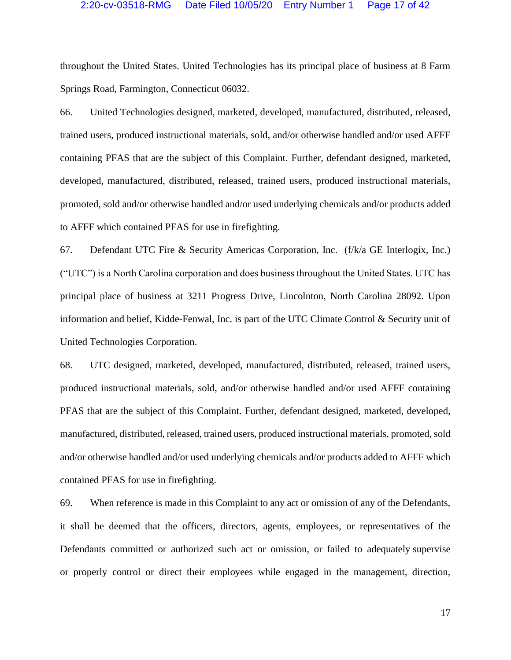# 2:20-cv-03518-RMG Date Filed 10/05/20 Entry Number 1 Page 17 of 42

throughout the United States. United Technologies has its principal place of business at 8 Farm Springs Road, Farmington, Connecticut 06032.

66. United Technologies designed, marketed, developed, manufactured, distributed, released, trained users, produced instructional materials, sold, and/or otherwise handled and/or used AFFF containing PFAS that are the subject of this Complaint. Further, defendant designed, marketed, developed, manufactured, distributed, released, trained users, produced instructional materials, promoted, sold and/or otherwise handled and/or used underlying chemicals and/or products added to AFFF which contained PFAS for use in firefighting.

67. Defendant UTC Fire & Security Americas Corporation, Inc. (f/k/a GE Interlogix, Inc.) ("UTC") is a North Carolina corporation and does business throughout the United States. UTC has principal place of business at 3211 Progress Drive, Lincolnton, North Carolina 28092. Upon information and belief, Kidde-Fenwal, Inc. is part of the UTC Climate Control & Security unit of United Technologies Corporation.

68. UTC designed, marketed, developed, manufactured, distributed, released, trained users, produced instructional materials, sold, and/or otherwise handled and/or used AFFF containing PFAS that are the subject of this Complaint. Further, defendant designed, marketed, developed, manufactured, distributed, released, trained users, produced instructional materials, promoted, sold and/or otherwise handled and/or used underlying chemicals and/or products added to AFFF which contained PFAS for use in firefighting.

69. When reference is made in this Complaint to any act or omission of any of the Defendants, it shall be deemed that the officers, directors, agents, employees, or representatives of the Defendants committed or authorized such act or omission, or failed to adequately supervise or properly control or direct their employees while engaged in the management, direction,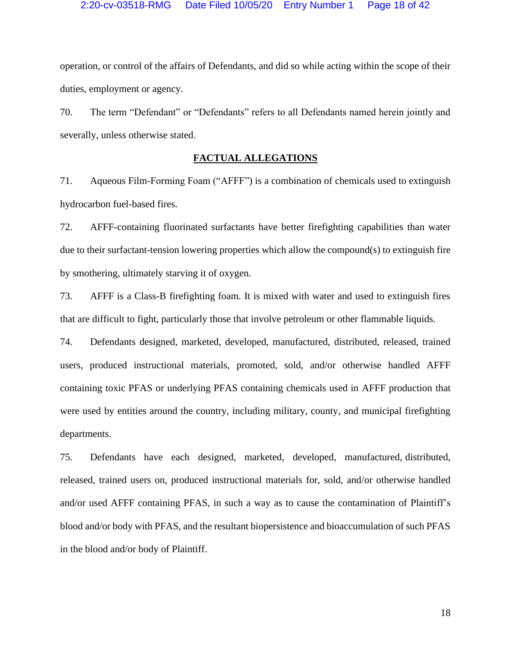operation, or control of the affairs of Defendants, and did so while acting within the scope of their duties, employment or agency.

70. The term "Defendant" or "Defendants" refers to all Defendants named herein jointly and severally, unless otherwise stated.

# **FACTUAL ALLEGATIONS**

71. Aqueous Film-Forming Foam ("AFFF") is a combination of chemicals used to extinguish hydrocarbon fuel-based fires.

72. AFFF-containing fluorinated surfactants have better firefighting capabilities than water due to their surfactant-tension lowering properties which allow the compound(s) to extinguish fire by smothering, ultimately starving it of oxygen.

73. AFFF is a Class-B firefighting foam. It is mixed with water and used to extinguish fires that are difficult to fight, particularly those that involve petroleum or other flammable liquids.

74. Defendants designed, marketed, developed, manufactured, distributed, released, trained users, produced instructional materials, promoted, sold, and/or otherwise handled AFFF containing toxic PFAS or underlying PFAS containing chemicals used in AFFF production that were used by entities around the country, including military, county, and municipal firefighting departments.

75. Defendants have each designed, marketed, developed, manufactured, distributed, released, trained users on, produced instructional materials for, sold, and/or otherwise handled and/or used AFFF containing PFAS, in such a way as to cause the contamination of Plaintiff's blood and/or body with PFAS, and the resultant biopersistence and bioaccumulation of such PFAS in the blood and/or body of Plaintiff.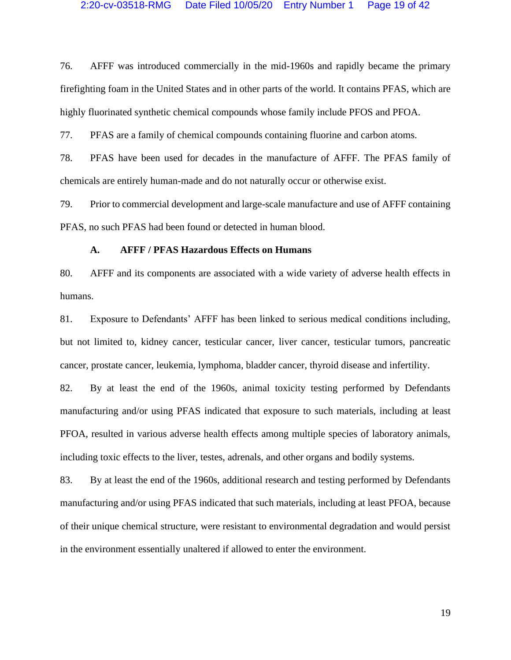76. AFFF was introduced commercially in the mid-1960s and rapidly became the primary firefighting foam in the United States and in other parts of the world. It contains PFAS, which are highly fluorinated synthetic chemical compounds whose family include PFOS and PFOA.

77. PFAS are a family of chemical compounds containing fluorine and carbon atoms.

78. PFAS have been used for decades in the manufacture of AFFF. The PFAS family of chemicals are entirely human-made and do not naturally occur or otherwise exist.

79. Prior to commercial development and large-scale manufacture and use of AFFF containing PFAS, no such PFAS had been found or detected in human blood.

# **A. AFFF / PFAS Hazardous Effects on Humans**

80. AFFF and its components are associated with a wide variety of adverse health effects in humans.

81. Exposure to Defendants' AFFF has been linked to serious medical conditions including, but not limited to, kidney cancer, testicular cancer, liver cancer, testicular tumors, pancreatic cancer, prostate cancer, leukemia, lymphoma, bladder cancer, thyroid disease and infertility.

82. By at least the end of the 1960s, animal toxicity testing performed by Defendants manufacturing and/or using PFAS indicated that exposure to such materials, including at least PFOA, resulted in various adverse health effects among multiple species of laboratory animals, including toxic effects to the liver, testes, adrenals, and other organs and bodily systems.

83. By at least the end of the 1960s, additional research and testing performed by Defendants manufacturing and/or using PFAS indicated that such materials, including at least PFOA, because of their unique chemical structure, were resistant to environmental degradation and would persist in the environment essentially unaltered if allowed to enter the environment.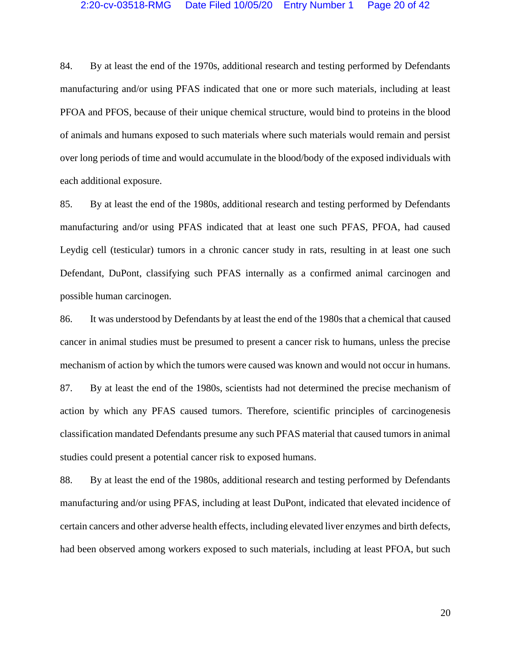84. By at least the end of the 1970s, additional research and testing performed by Defendants manufacturing and/or using PFAS indicated that one or more such materials, including at least PFOA and PFOS, because of their unique chemical structure, would bind to proteins in the blood of animals and humans exposed to such materials where such materials would remain and persist over long periods of time and would accumulate in the blood/body of the exposed individuals with each additional exposure.

85. By at least the end of the 1980s, additional research and testing performed by Defendants manufacturing and/or using PFAS indicated that at least one such PFAS, PFOA, had caused Leydig cell (testicular) tumors in a chronic cancer study in rats, resulting in at least one such Defendant, DuPont, classifying such PFAS internally as a confirmed animal carcinogen and possible human carcinogen.

86. It was understood by Defendants by at least the end of the 1980s that a chemical that caused cancer in animal studies must be presumed to present a cancer risk to humans, unless the precise mechanism of action by which the tumors were caused was known and would not occur in humans. 87. By at least the end of the 1980s, scientists had not determined the precise mechanism of action by which any PFAS caused tumors. Therefore, scientific principles of carcinogenesis classification mandated Defendants presume any such PFAS material that caused tumors in animal studies could present a potential cancer risk to exposed humans.

88. By at least the end of the 1980s, additional research and testing performed by Defendants manufacturing and/or using PFAS, including at least DuPont, indicated that elevated incidence of certain cancers and other adverse health effects, including elevated liver enzymes and birth defects, had been observed among workers exposed to such materials, including at least PFOA, but such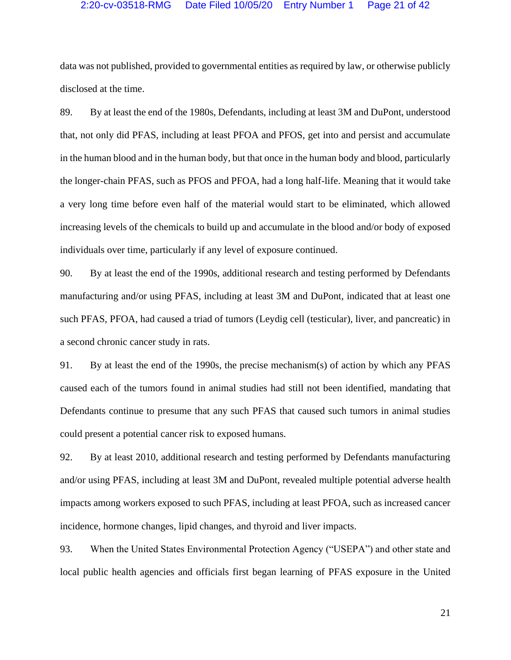# 2:20-cv-03518-RMG Date Filed 10/05/20 Entry Number 1 Page 21 of 42

data was not published, provided to governmental entities as required by law, or otherwise publicly disclosed at the time.

89. By at least the end of the 1980s, Defendants, including at least 3M and DuPont, understood that, not only did PFAS, including at least PFOA and PFOS, get into and persist and accumulate in the human blood and in the human body, but that once in the human body and blood, particularly the longer-chain PFAS, such as PFOS and PFOA, had a long half-life. Meaning that it would take a very long time before even half of the material would start to be eliminated, which allowed increasing levels of the chemicals to build up and accumulate in the blood and/or body of exposed individuals over time, particularly if any level of exposure continued.

90. By at least the end of the 1990s, additional research and testing performed by Defendants manufacturing and/or using PFAS, including at least 3M and DuPont, indicated that at least one such PFAS, PFOA, had caused a triad of tumors (Leydig cell (testicular), liver, and pancreatic) in a second chronic cancer study in rats.

91. By at least the end of the 1990s, the precise mechanism(s) of action by which any PFAS caused each of the tumors found in animal studies had still not been identified, mandating that Defendants continue to presume that any such PFAS that caused such tumors in animal studies could present a potential cancer risk to exposed humans.

92. By at least 2010, additional research and testing performed by Defendants manufacturing and/or using PFAS, including at least 3M and DuPont, revealed multiple potential adverse health impacts among workers exposed to such PFAS, including at least PFOA, such as increased cancer incidence, hormone changes, lipid changes, and thyroid and liver impacts.

93. When the United States Environmental Protection Agency ("USEPA") and other state and local public health agencies and officials first began learning of PFAS exposure in the United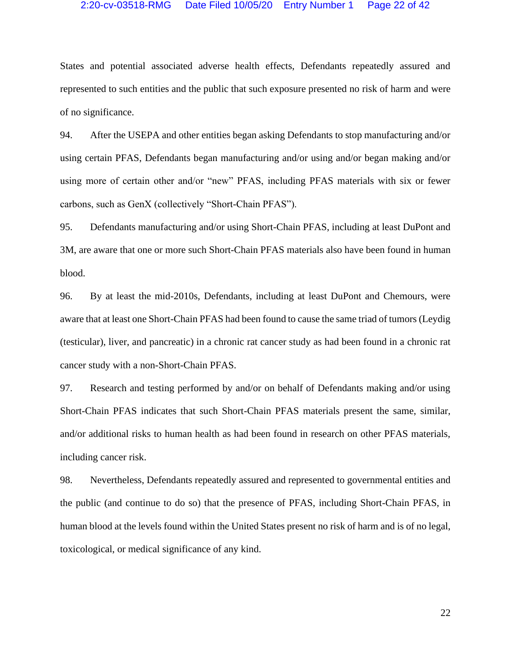# 2:20-cv-03518-RMG Date Filed 10/05/20 Entry Number 1 Page 22 of 42

States and potential associated adverse health effects, Defendants repeatedly assured and represented to such entities and the public that such exposure presented no risk of harm and were of no significance.

94. After the USEPA and other entities began asking Defendants to stop manufacturing and/or using certain PFAS, Defendants began manufacturing and/or using and/or began making and/or using more of certain other and/or "new" PFAS, including PFAS materials with six or fewer carbons, such as GenX (collectively "Short-Chain PFAS").

95. Defendants manufacturing and/or using Short-Chain PFAS, including at least DuPont and 3M, are aware that one or more such Short-Chain PFAS materials also have been found in human blood.

96. By at least the mid-2010s, Defendants, including at least DuPont and Chemours, were aware that at least one Short-Chain PFAS had been found to cause the same triad of tumors (Leydig (testicular), liver, and pancreatic) in a chronic rat cancer study as had been found in a chronic rat cancer study with a non-Short-Chain PFAS.

97. Research and testing performed by and/or on behalf of Defendants making and/or using Short-Chain PFAS indicates that such Short-Chain PFAS materials present the same, similar, and/or additional risks to human health as had been found in research on other PFAS materials, including cancer risk.

98. Nevertheless, Defendants repeatedly assured and represented to governmental entities and the public (and continue to do so) that the presence of PFAS, including Short-Chain PFAS, in human blood at the levels found within the United States present no risk of harm and is of no legal, toxicological, or medical significance of any kind.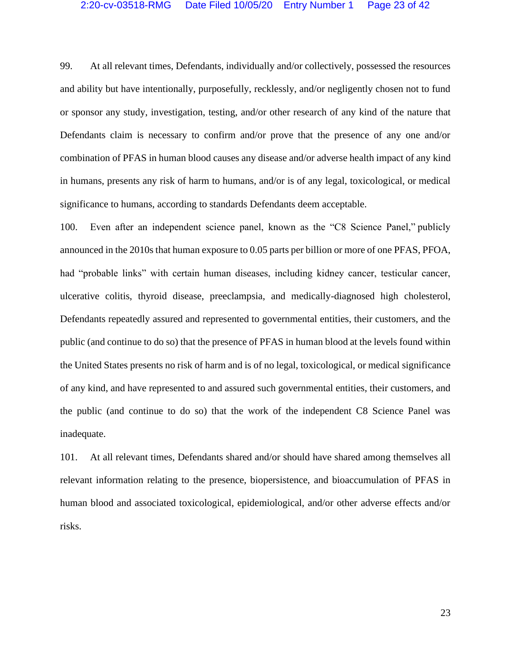# 2:20-cv-03518-RMG Date Filed 10/05/20 Entry Number 1 Page 23 of 42

99. At all relevant times, Defendants, individually and/or collectively, possessed the resources and ability but have intentionally, purposefully, recklessly, and/or negligently chosen not to fund or sponsor any study, investigation, testing, and/or other research of any kind of the nature that Defendants claim is necessary to confirm and/or prove that the presence of any one and/or combination of PFAS in human blood causes any disease and/or adverse health impact of any kind in humans, presents any risk of harm to humans, and/or is of any legal, toxicological, or medical significance to humans, according to standards Defendants deem acceptable.

100. Even after an independent science panel, known as the "C8 Science Panel," publicly announced in the 2010s that human exposure to 0.05 parts per billion or more of one PFAS, PFOA, had "probable links" with certain human diseases, including kidney cancer, testicular cancer, ulcerative colitis, thyroid disease, preeclampsia, and medically-diagnosed high cholesterol, Defendants repeatedly assured and represented to governmental entities, their customers, and the public (and continue to do so) that the presence of PFAS in human blood at the levels found within the United States presents no risk of harm and is of no legal, toxicological, or medical significance of any kind, and have represented to and assured such governmental entities, their customers, and the public (and continue to do so) that the work of the independent C8 Science Panel was inadequate.

101. At all relevant times, Defendants shared and/or should have shared among themselves all relevant information relating to the presence, biopersistence, and bioaccumulation of PFAS in human blood and associated toxicological, epidemiological, and/or other adverse effects and/or risks.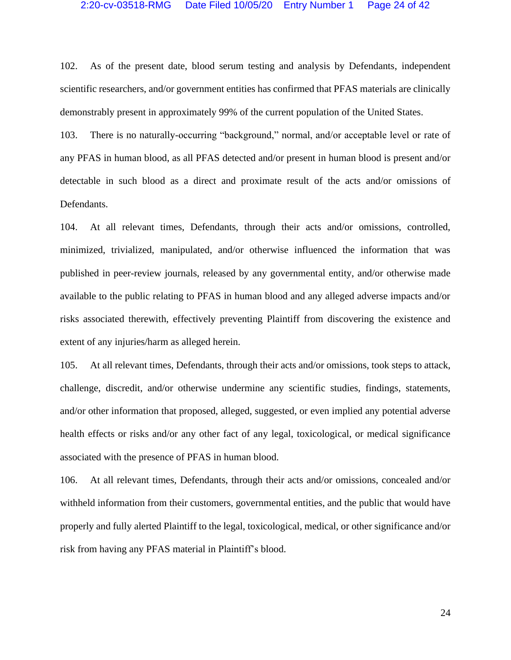# 2:20-cv-03518-RMG Date Filed 10/05/20 Entry Number 1 Page 24 of 42

102. As of the present date, blood serum testing and analysis by Defendants, independent scientific researchers, and/or government entities has confirmed that PFAS materials are clinically demonstrably present in approximately 99% of the current population of the United States.

103. There is no naturally-occurring "background," normal, and/or acceptable level or rate of any PFAS in human blood, as all PFAS detected and/or present in human blood is present and/or detectable in such blood as a direct and proximate result of the acts and/or omissions of Defendants.

104. At all relevant times, Defendants, through their acts and/or omissions, controlled, minimized, trivialized, manipulated, and/or otherwise influenced the information that was published in peer-review journals, released by any governmental entity, and/or otherwise made available to the public relating to PFAS in human blood and any alleged adverse impacts and/or risks associated therewith, effectively preventing Plaintiff from discovering the existence and extent of any injuries/harm as alleged herein.

105. At all relevant times, Defendants, through their acts and/or omissions, took steps to attack, challenge, discredit, and/or otherwise undermine any scientific studies, findings, statements, and/or other information that proposed, alleged, suggested, or even implied any potential adverse health effects or risks and/or any other fact of any legal, toxicological, or medical significance associated with the presence of PFAS in human blood.

106. At all relevant times, Defendants, through their acts and/or omissions, concealed and/or withheld information from their customers, governmental entities, and the public that would have properly and fully alerted Plaintiff to the legal, toxicological, medical, or other significance and/or risk from having any PFAS material in Plaintiff's blood.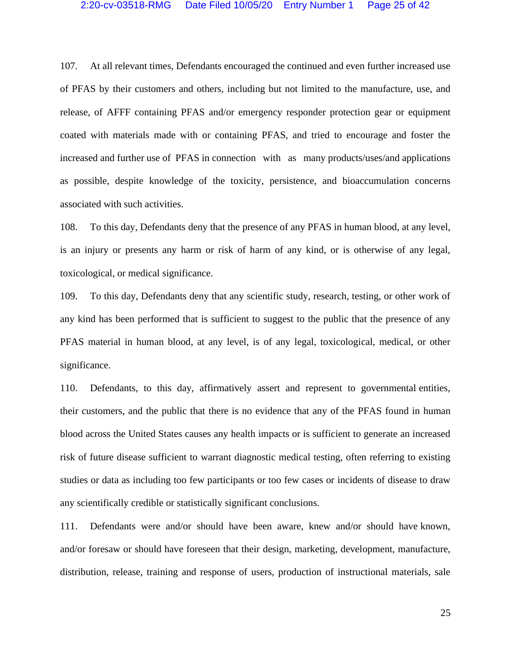# 2:20-cv-03518-RMG Date Filed 10/05/20 Entry Number 1 Page 25 of 42

107. At all relevant times, Defendants encouraged the continued and even further increased use of PFAS by their customers and others, including but not limited to the manufacture, use, and release, of AFFF containing PFAS and/or emergency responder protection gear or equipment coated with materials made with or containing PFAS, and tried to encourage and foster the increased and further use of PFAS in connection with as many products/uses/and applications as possible, despite knowledge of the toxicity, persistence, and bioaccumulation concerns associated with such activities.

108. To this day, Defendants deny that the presence of any PFAS in human blood, at any level, is an injury or presents any harm or risk of harm of any kind, or is otherwise of any legal, toxicological, or medical significance.

109. To this day, Defendants deny that any scientific study, research, testing, or other work of any kind has been performed that is sufficient to suggest to the public that the presence of any PFAS material in human blood, at any level, is of any legal, toxicological, medical, or other significance.

110. Defendants, to this day, affirmatively assert and represent to governmental entities, their customers, and the public that there is no evidence that any of the PFAS found in human blood across the United States causes any health impacts or is sufficient to generate an increased risk of future disease sufficient to warrant diagnostic medical testing, often referring to existing studies or data as including too few participants or too few cases or incidents of disease to draw any scientifically credible or statistically significant conclusions.

111. Defendants were and/or should have been aware, knew and/or should have known, and/or foresaw or should have foreseen that their design, marketing, development, manufacture, distribution, release, training and response of users, production of instructional materials, sale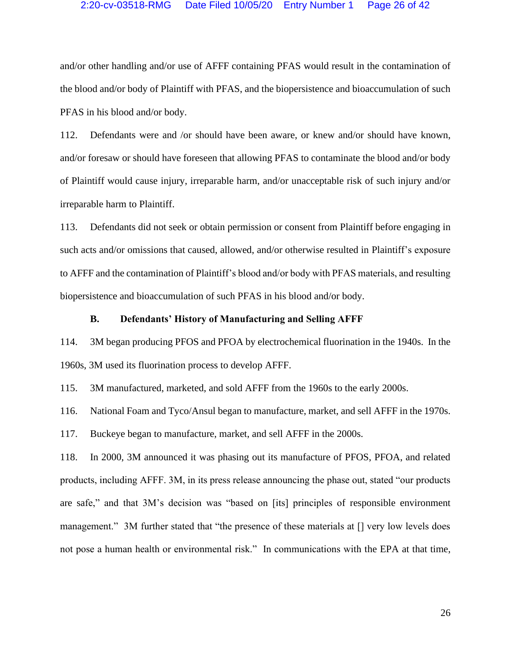# 2:20-cv-03518-RMG Date Filed 10/05/20 Entry Number 1 Page 26 of 42

and/or other handling and/or use of AFFF containing PFAS would result in the contamination of the blood and/or body of Plaintiff with PFAS, and the biopersistence and bioaccumulation of such PFAS in his blood and/or body.

112. Defendants were and /or should have been aware, or knew and/or should have known, and/or foresaw or should have foreseen that allowing PFAS to contaminate the blood and/or body of Plaintiff would cause injury, irreparable harm, and/or unacceptable risk of such injury and/or irreparable harm to Plaintiff.

113. Defendants did not seek or obtain permission or consent from Plaintiff before engaging in such acts and/or omissions that caused, allowed, and/or otherwise resulted in Plaintiff's exposure to AFFF and the contamination of Plaintiff's blood and/or body with PFAS materials, and resulting biopersistence and bioaccumulation of such PFAS in his blood and/or body.

# **B. Defendants' History of Manufacturing and Selling AFFF**

114. 3M began producing PFOS and PFOA by electrochemical fluorination in the 1940s. In the 1960s, 3M used its fluorination process to develop AFFF.

115. 3M manufactured, marketed, and sold AFFF from the 1960s to the early 2000s.

116. National Foam and Tyco/Ansul began to manufacture, market, and sell AFFF in the 1970s.

117. Buckeye began to manufacture, market, and sell AFFF in the 2000s.

118. In 2000, 3M announced it was phasing out its manufacture of PFOS, PFOA, and related products, including AFFF. 3M, in its press release announcing the phase out, stated "our products are safe," and that 3M's decision was "based on [its] principles of responsible environment management." 3M further stated that "the presence of these materials at [] very low levels does not pose a human health or environmental risk." In communications with the EPA at that time,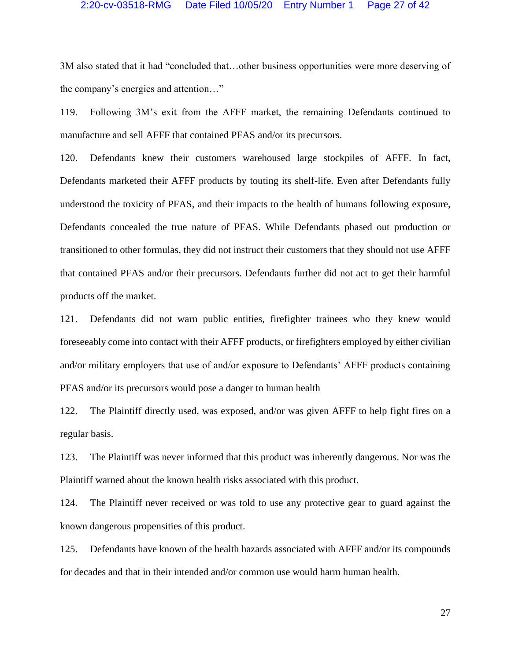# 2:20-cv-03518-RMG Date Filed 10/05/20 Entry Number 1 Page 27 of 42

3M also stated that it had "concluded that…other business opportunities were more deserving of the company's energies and attention…"

119. Following 3M's exit from the AFFF market, the remaining Defendants continued to manufacture and sell AFFF that contained PFAS and/or its precursors.

120. Defendants knew their customers warehoused large stockpiles of AFFF. In fact, Defendants marketed their AFFF products by touting its shelf-life. Even after Defendants fully understood the toxicity of PFAS, and their impacts to the health of humans following exposure, Defendants concealed the true nature of PFAS. While Defendants phased out production or transitioned to other formulas, they did not instruct their customers that they should not use AFFF that contained PFAS and/or their precursors. Defendants further did not act to get their harmful products off the market.

121. Defendants did not warn public entities, firefighter trainees who they knew would foreseeably come into contact with their AFFF products, or firefighters employed by either civilian and/or military employers that use of and/or exposure to Defendants' AFFF products containing PFAS and/or its precursors would pose a danger to human health

122. The Plaintiff directly used, was exposed, and/or was given AFFF to help fight fires on a regular basis.

123. The Plaintiff was never informed that this product was inherently dangerous. Nor was the Plaintiff warned about the known health risks associated with this product.

124. The Plaintiff never received or was told to use any protective gear to guard against the known dangerous propensities of this product.

125. Defendants have known of the health hazards associated with AFFF and/or its compounds for decades and that in their intended and/or common use would harm human health.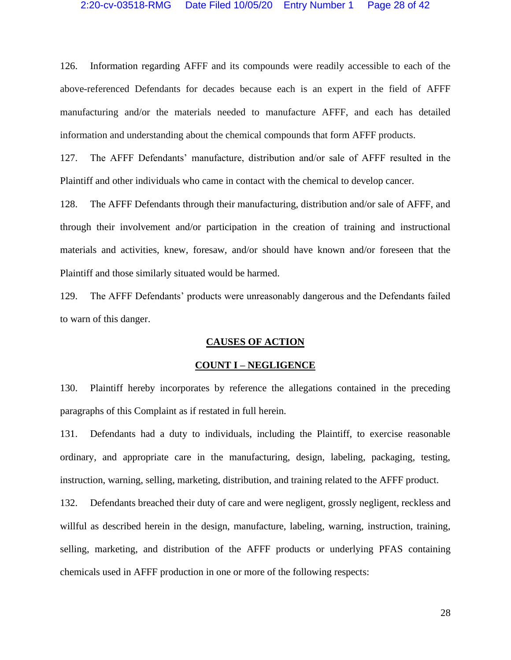126. Information regarding AFFF and its compounds were readily accessible to each of the above-referenced Defendants for decades because each is an expert in the field of AFFF manufacturing and/or the materials needed to manufacture AFFF, and each has detailed information and understanding about the chemical compounds that form AFFF products.

127. The AFFF Defendants' manufacture, distribution and/or sale of AFFF resulted in the Plaintiff and other individuals who came in contact with the chemical to develop cancer.

128. The AFFF Defendants through their manufacturing, distribution and/or sale of AFFF, and through their involvement and/or participation in the creation of training and instructional materials and activities, knew, foresaw, and/or should have known and/or foreseen that the Plaintiff and those similarly situated would be harmed.

129. The AFFF Defendants' products were unreasonably dangerous and the Defendants failed to warn of this danger.

## **CAUSES OF ACTION**

#### **COUNT I – NEGLIGENCE**

130. Plaintiff hereby incorporates by reference the allegations contained in the preceding paragraphs of this Complaint as if restated in full herein.

131. Defendants had a duty to individuals, including the Plaintiff, to exercise reasonable ordinary, and appropriate care in the manufacturing, design, labeling, packaging, testing, instruction, warning, selling, marketing, distribution, and training related to the AFFF product.

132. Defendants breached their duty of care and were negligent, grossly negligent, reckless and willful as described herein in the design, manufacture, labeling, warning, instruction, training, selling, marketing, and distribution of the AFFF products or underlying PFAS containing chemicals used in AFFF production in one or more of the following respects: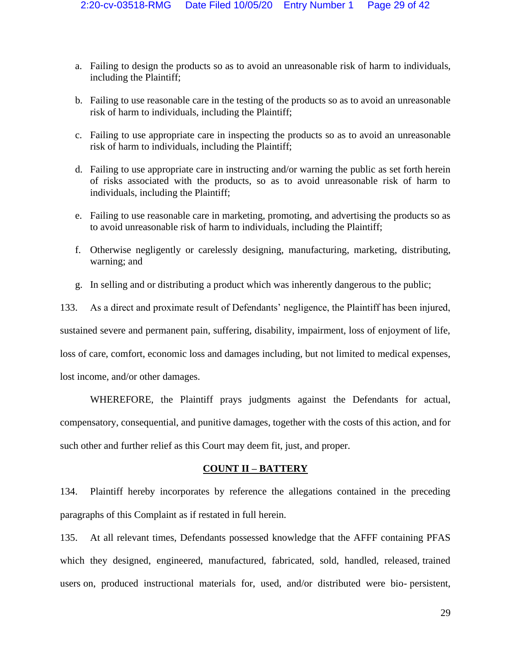- a. Failing to design the products so as to avoid an unreasonable risk of harm to individuals, including the Plaintiff;
- b. Failing to use reasonable care in the testing of the products so as to avoid an unreasonable risk of harm to individuals, including the Plaintiff;
- c. Failing to use appropriate care in inspecting the products so as to avoid an unreasonable risk of harm to individuals, including the Plaintiff;
- d. Failing to use appropriate care in instructing and/or warning the public as set forth herein of risks associated with the products, so as to avoid unreasonable risk of harm to individuals, including the Plaintiff;
- e. Failing to use reasonable care in marketing, promoting, and advertising the products so as to avoid unreasonable risk of harm to individuals, including the Plaintiff;
- f. Otherwise negligently or carelessly designing, manufacturing, marketing, distributing, warning; and
- g. In selling and or distributing a product which was inherently dangerous to the public;

133. As a direct and proximate result of Defendants' negligence, the Plaintiff has been injured,

sustained severe and permanent pain, suffering, disability, impairment, loss of enjoyment of life,

loss of care, comfort, economic loss and damages including, but not limited to medical expenses,

lost income, and/or other damages.

WHEREFORE, the Plaintiff prays judgments against the Defendants for actual, compensatory, consequential, and punitive damages, together with the costs of this action, and for such other and further relief as this Court may deem fit, just, and proper.

# **COUNT II – BATTERY**

134. Plaintiff hereby incorporates by reference the allegations contained in the preceding paragraphs of this Complaint as if restated in full herein.

135. At all relevant times, Defendants possessed knowledge that the AFFF containing PFAS which they designed, engineered, manufactured, fabricated, sold, handled, released, trained users on, produced instructional materials for, used, and/or distributed were bio- persistent,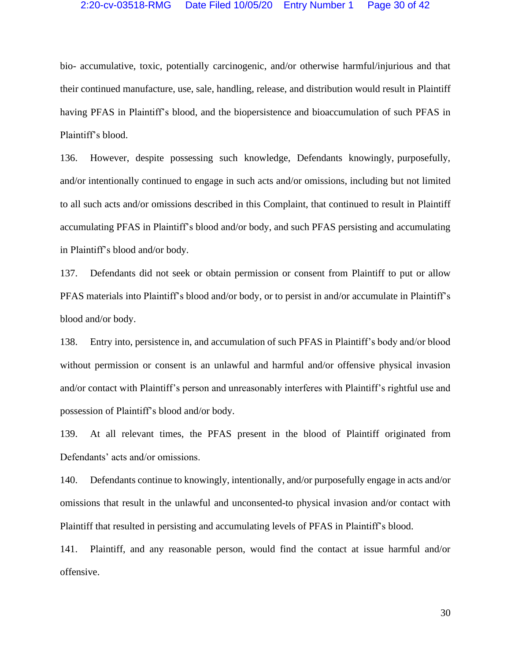# 2:20-cv-03518-RMG Date Filed 10/05/20 Entry Number 1 Page 30 of 42

bio- accumulative, toxic, potentially carcinogenic, and/or otherwise harmful/injurious and that their continued manufacture, use, sale, handling, release, and distribution would result in Plaintiff having PFAS in Plaintiff's blood, and the biopersistence and bioaccumulation of such PFAS in Plaintiff's blood.

136. However, despite possessing such knowledge, Defendants knowingly, purposefully, and/or intentionally continued to engage in such acts and/or omissions, including but not limited to all such acts and/or omissions described in this Complaint, that continued to result in Plaintiff accumulating PFAS in Plaintiff's blood and/or body, and such PFAS persisting and accumulating in Plaintiff's blood and/or body.

137. Defendants did not seek or obtain permission or consent from Plaintiff to put or allow PFAS materials into Plaintiff's blood and/or body, or to persist in and/or accumulate in Plaintiff's blood and/or body.

138. Entry into, persistence in, and accumulation of such PFAS in Plaintiff's body and/or blood without permission or consent is an unlawful and harmful and/or offensive physical invasion and/or contact with Plaintiff's person and unreasonably interferes with Plaintiff's rightful use and possession of Plaintiff's blood and/or body.

139. At all relevant times, the PFAS present in the blood of Plaintiff originated from Defendants' acts and/or omissions.

140. Defendants continue to knowingly, intentionally, and/or purposefully engage in acts and/or omissions that result in the unlawful and unconsented-to physical invasion and/or contact with Plaintiff that resulted in persisting and accumulating levels of PFAS in Plaintiff's blood.

141. Plaintiff, and any reasonable person, would find the contact at issue harmful and/or offensive.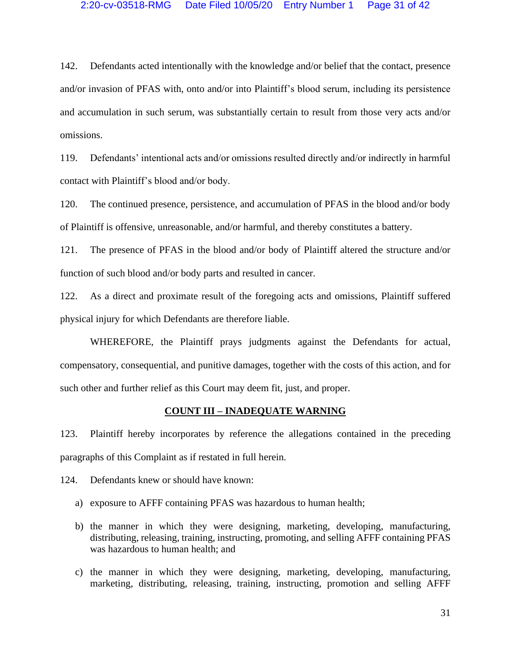# 2:20-cv-03518-RMG Date Filed 10/05/20 Entry Number 1 Page 31 of 42

142. Defendants acted intentionally with the knowledge and/or belief that the contact, presence and/or invasion of PFAS with, onto and/or into Plaintiff's blood serum, including its persistence and accumulation in such serum, was substantially certain to result from those very acts and/or omissions.

119. Defendants' intentional acts and/or omissions resulted directly and/or indirectly in harmful contact with Plaintiff's blood and/or body.

120. The continued presence, persistence, and accumulation of PFAS in the blood and/or body of Plaintiff is offensive, unreasonable, and/or harmful, and thereby constitutes a battery.

121. The presence of PFAS in the blood and/or body of Plaintiff altered the structure and/or function of such blood and/or body parts and resulted in cancer.

122. As a direct and proximate result of the foregoing acts and omissions, Plaintiff suffered physical injury for which Defendants are therefore liable.

WHEREFORE, the Plaintiff prays judgments against the Defendants for actual, compensatory, consequential, and punitive damages, together with the costs of this action, and for such other and further relief as this Court may deem fit, just, and proper.

#### **COUNT III – INADEQUATE WARNING**

123. Plaintiff hereby incorporates by reference the allegations contained in the preceding paragraphs of this Complaint as if restated in full herein.

124. Defendants knew or should have known:

- a) exposure to AFFF containing PFAS was hazardous to human health;
- b) the manner in which they were designing, marketing, developing, manufacturing, distributing, releasing, training, instructing, promoting, and selling AFFF containing PFAS was hazardous to human health; and
- c) the manner in which they were designing, marketing, developing, manufacturing, marketing, distributing, releasing, training, instructing, promotion and selling AFFF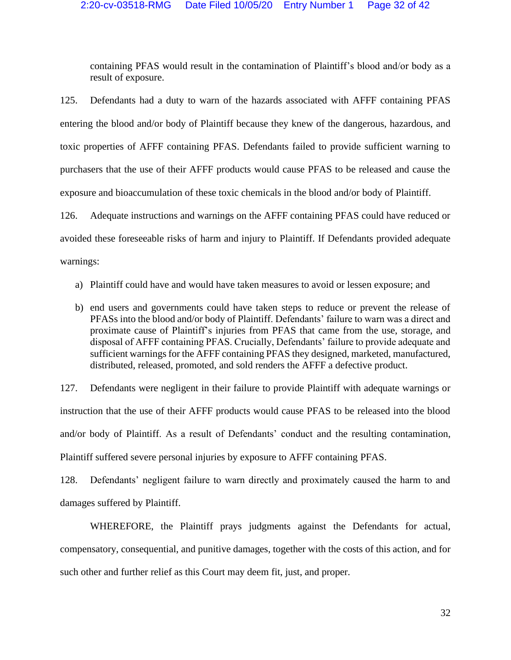containing PFAS would result in the contamination of Plaintiff's blood and/or body as a result of exposure.

125. Defendants had a duty to warn of the hazards associated with AFFF containing PFAS entering the blood and/or body of Plaintiff because they knew of the dangerous, hazardous, and toxic properties of AFFF containing PFAS. Defendants failed to provide sufficient warning to purchasers that the use of their AFFF products would cause PFAS to be released and cause the exposure and bioaccumulation of these toxic chemicals in the blood and/or body of Plaintiff.

126. Adequate instructions and warnings on the AFFF containing PFAS could have reduced or avoided these foreseeable risks of harm and injury to Plaintiff. If Defendants provided adequate warnings:

- a) Plaintiff could have and would have taken measures to avoid or lessen exposure; and
- b) end users and governments could have taken steps to reduce or prevent the release of PFASs into the blood and/or body of Plaintiff. Defendants' failure to warn was a direct and proximate cause of Plaintiff's injuries from PFAS that came from the use, storage, and disposal of AFFF containing PFAS. Crucially, Defendants' failure to provide adequate and sufficient warnings for the AFFF containing PFAS they designed, marketed, manufactured, distributed, released, promoted, and sold renders the AFFF a defective product.

127. Defendants were negligent in their failure to provide Plaintiff with adequate warnings or instruction that the use of their AFFF products would cause PFAS to be released into the blood and/or body of Plaintiff. As a result of Defendants' conduct and the resulting contamination, Plaintiff suffered severe personal injuries by exposure to AFFF containing PFAS.

128. Defendants' negligent failure to warn directly and proximately caused the harm to and damages suffered by Plaintiff.

WHEREFORE, the Plaintiff prays judgments against the Defendants for actual, compensatory, consequential, and punitive damages, together with the costs of this action, and for such other and further relief as this Court may deem fit, just, and proper.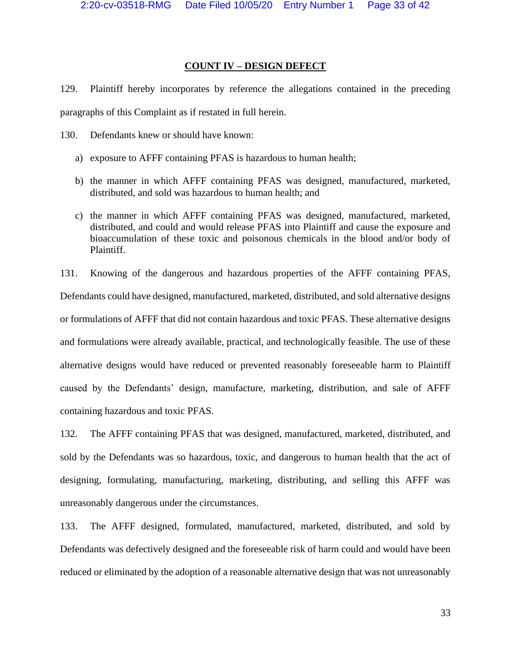# **COUNT IV – DESIGN DEFECT**

129. Plaintiff hereby incorporates by reference the allegations contained in the preceding paragraphs of this Complaint as if restated in full herein.

130. Defendants knew or should have known:

- a) exposure to AFFF containing PFAS is hazardous to human health;
- b) the manner in which AFFF containing PFAS was designed, manufactured, marketed, distributed, and sold was hazardous to human health; and
- c) the manner in which AFFF containing PFAS was designed, manufactured, marketed, distributed, and could and would release PFAS into Plaintiff and cause the exposure and bioaccumulation of these toxic and poisonous chemicals in the blood and/or body of Plaintiff.

131. Knowing of the dangerous and hazardous properties of the AFFF containing PFAS, Defendants could have designed, manufactured, marketed, distributed, and sold alternative designs or formulations of AFFF that did not contain hazardous and toxic PFAS. These alternative designs and formulations were already available, practical, and technologically feasible. The use of these alternative designs would have reduced or prevented reasonably foreseeable harm to Plaintiff caused by the Defendants' design, manufacture, marketing, distribution, and sale of AFFF containing hazardous and toxic PFAS.

132. The AFFF containing PFAS that was designed, manufactured, marketed, distributed, and sold by the Defendants was so hazardous, toxic, and dangerous to human health that the act of designing, formulating, manufacturing, marketing, distributing, and selling this AFFF was unreasonably dangerous under the circumstances.

133. The AFFF designed, formulated, manufactured, marketed, distributed, and sold by Defendants was defectively designed and the foreseeable risk of harm could and would have been reduced or eliminated by the adoption of a reasonable alternative design that was not unreasonably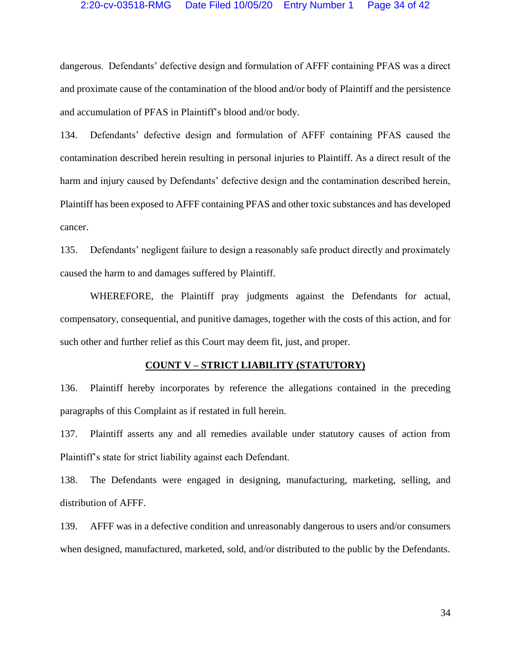# 2:20-cv-03518-RMG Date Filed 10/05/20 Entry Number 1 Page 34 of 42

dangerous. Defendants' defective design and formulation of AFFF containing PFAS was a direct and proximate cause of the contamination of the blood and/or body of Plaintiff and the persistence and accumulation of PFAS in Plaintiff's blood and/or body.

134. Defendants' defective design and formulation of AFFF containing PFAS caused the contamination described herein resulting in personal injuries to Plaintiff. As a direct result of the harm and injury caused by Defendants' defective design and the contamination described herein, Plaintiff has been exposed to AFFF containing PFAS and other toxic substances and has developed cancer.

135. Defendants' negligent failure to design a reasonably safe product directly and proximately caused the harm to and damages suffered by Plaintiff.

WHEREFORE, the Plaintiff pray judgments against the Defendants for actual, compensatory, consequential, and punitive damages, together with the costs of this action, and for such other and further relief as this Court may deem fit, just, and proper.

#### **COUNT V – STRICT LIABILITY (STATUTORY)**

136. Plaintiff hereby incorporates by reference the allegations contained in the preceding paragraphs of this Complaint as if restated in full herein.

137. Plaintiff asserts any and all remedies available under statutory causes of action from Plaintiff's state for strict liability against each Defendant.

138. The Defendants were engaged in designing, manufacturing, marketing, selling, and distribution of AFFF.

139. AFFF was in a defective condition and unreasonably dangerous to users and/or consumers when designed, manufactured, marketed, sold, and/or distributed to the public by the Defendants.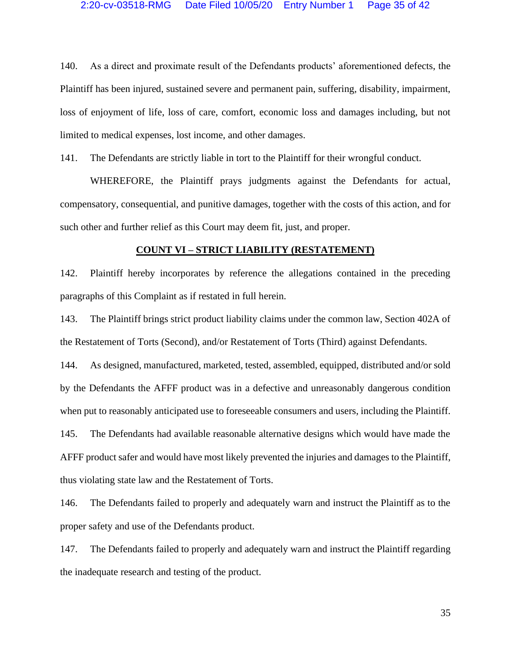140. As a direct and proximate result of the Defendants products' aforementioned defects, the Plaintiff has been injured, sustained severe and permanent pain, suffering, disability, impairment, loss of enjoyment of life, loss of care, comfort, economic loss and damages including, but not limited to medical expenses, lost income, and other damages.

141. The Defendants are strictly liable in tort to the Plaintiff for their wrongful conduct.

WHEREFORE, the Plaintiff prays judgments against the Defendants for actual, compensatory, consequential, and punitive damages, together with the costs of this action, and for such other and further relief as this Court may deem fit, just, and proper.

#### **COUNT VI – STRICT LIABILITY (RESTATEMENT)**

142. Plaintiff hereby incorporates by reference the allegations contained in the preceding paragraphs of this Complaint as if restated in full herein.

143. The Plaintiff brings strict product liability claims under the common law, Section 402A of the Restatement of Torts (Second), and/or Restatement of Torts (Third) against Defendants.

144. As designed, manufactured, marketed, tested, assembled, equipped, distributed and/or sold by the Defendants the AFFF product was in a defective and unreasonably dangerous condition when put to reasonably anticipated use to foreseeable consumers and users, including the Plaintiff. 145. The Defendants had available reasonable alternative designs which would have made the AFFF product safer and would have most likely prevented the injuries and damages to the Plaintiff, thus violating state law and the Restatement of Torts.

146. The Defendants failed to properly and adequately warn and instruct the Plaintiff as to the proper safety and use of the Defendants product.

147. The Defendants failed to properly and adequately warn and instruct the Plaintiff regarding the inadequate research and testing of the product.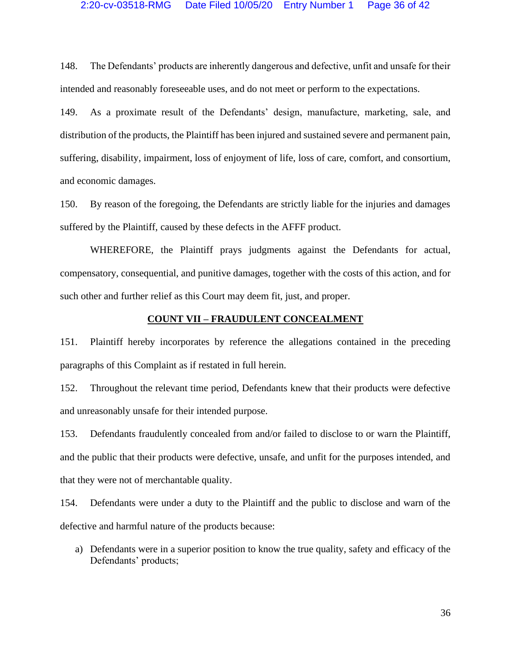148. The Defendants' products are inherently dangerous and defective, unfit and unsafe for their intended and reasonably foreseeable uses, and do not meet or perform to the expectations.

149. As a proximate result of the Defendants' design, manufacture, marketing, sale, and distribution of the products, the Plaintiff has been injured and sustained severe and permanent pain, suffering, disability, impairment, loss of enjoyment of life, loss of care, comfort, and consortium, and economic damages.

150. By reason of the foregoing, the Defendants are strictly liable for the injuries and damages suffered by the Plaintiff, caused by these defects in the AFFF product.

WHEREFORE, the Plaintiff prays judgments against the Defendants for actual, compensatory, consequential, and punitive damages, together with the costs of this action, and for such other and further relief as this Court may deem fit, just, and proper.

#### **COUNT VII – FRAUDULENT CONCEALMENT**

151. Plaintiff hereby incorporates by reference the allegations contained in the preceding paragraphs of this Complaint as if restated in full herein.

152. Throughout the relevant time period, Defendants knew that their products were defective and unreasonably unsafe for their intended purpose.

153. Defendants fraudulently concealed from and/or failed to disclose to or warn the Plaintiff, and the public that their products were defective, unsafe, and unfit for the purposes intended, and that they were not of merchantable quality.

154. Defendants were under a duty to the Plaintiff and the public to disclose and warn of the defective and harmful nature of the products because:

a) Defendants were in a superior position to know the true quality, safety and efficacy of the Defendants' products;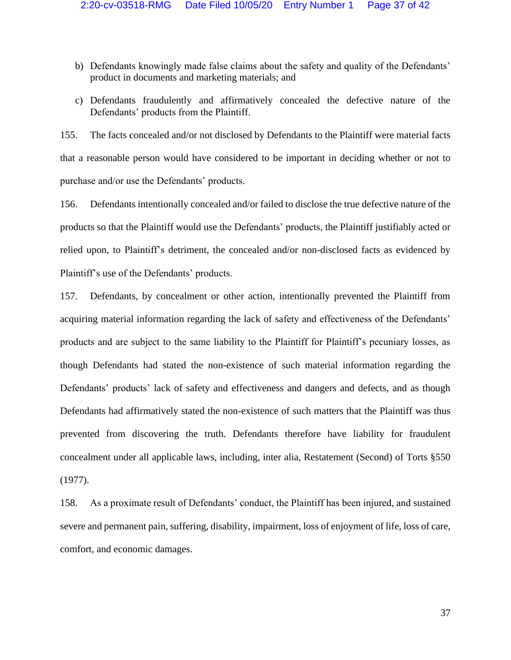- b) Defendants knowingly made false claims about the safety and quality of the Defendants' product in documents and marketing materials; and
- c) Defendants fraudulently and affirmatively concealed the defective nature of the Defendants' products from the Plaintiff.

155. The facts concealed and/or not disclosed by Defendants to the Plaintiff were material facts that a reasonable person would have considered to be important in deciding whether or not to purchase and/or use the Defendants' products.

156. Defendants intentionally concealed and/or failed to disclose the true defective nature of the products so that the Plaintiff would use the Defendants' products, the Plaintiff justifiably acted or relied upon, to Plaintiff's detriment, the concealed and/or non-disclosed facts as evidenced by Plaintiff's use of the Defendants' products.

157. Defendants, by concealment or other action, intentionally prevented the Plaintiff from acquiring material information regarding the lack of safety and effectiveness of the Defendants' products and are subject to the same liability to the Plaintiff for Plaintiff's pecuniary losses, as though Defendants had stated the non-existence of such material information regarding the Defendants' products' lack of safety and effectiveness and dangers and defects, and as though Defendants had affirmatively stated the non-existence of such matters that the Plaintiff was thus prevented from discovering the truth. Defendants therefore have liability for fraudulent concealment under all applicable laws, including, inter alia, Restatement (Second) of Torts §550 (1977).

158. As a proximate result of Defendants' conduct, the Plaintiff has been injured, and sustained severe and permanent pain, suffering, disability, impairment, loss of enjoyment of life, loss of care, comfort, and economic damages.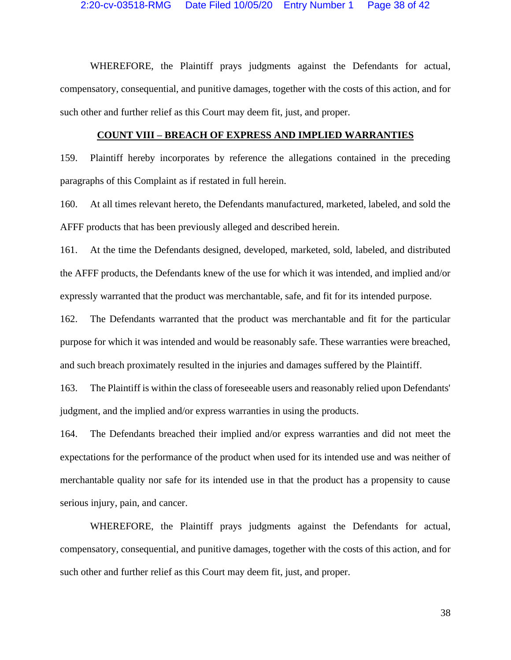WHEREFORE, the Plaintiff prays judgments against the Defendants for actual, compensatory, consequential, and punitive damages, together with the costs of this action, and for such other and further relief as this Court may deem fit, just, and proper.

#### **COUNT VIII – BREACH OF EXPRESS AND IMPLIED WARRANTIES**

159. Plaintiff hereby incorporates by reference the allegations contained in the preceding paragraphs of this Complaint as if restated in full herein.

160. At all times relevant hereto, the Defendants manufactured, marketed, labeled, and sold the AFFF products that has been previously alleged and described herein.

161. At the time the Defendants designed, developed, marketed, sold, labeled, and distributed the AFFF products, the Defendants knew of the use for which it was intended, and implied and/or expressly warranted that the product was merchantable, safe, and fit for its intended purpose.

162. The Defendants warranted that the product was merchantable and fit for the particular purpose for which it was intended and would be reasonably safe. These warranties were breached, and such breach proximately resulted in the injuries and damages suffered by the Plaintiff.

163. The Plaintiff is within the class of foreseeable users and reasonably relied upon Defendants' judgment, and the implied and/or express warranties in using the products.

164. The Defendants breached their implied and/or express warranties and did not meet the expectations for the performance of the product when used for its intended use and was neither of merchantable quality nor safe for its intended use in that the product has a propensity to cause serious injury, pain, and cancer.

WHEREFORE, the Plaintiff prays judgments against the Defendants for actual, compensatory, consequential, and punitive damages, together with the costs of this action, and for such other and further relief as this Court may deem fit, just, and proper.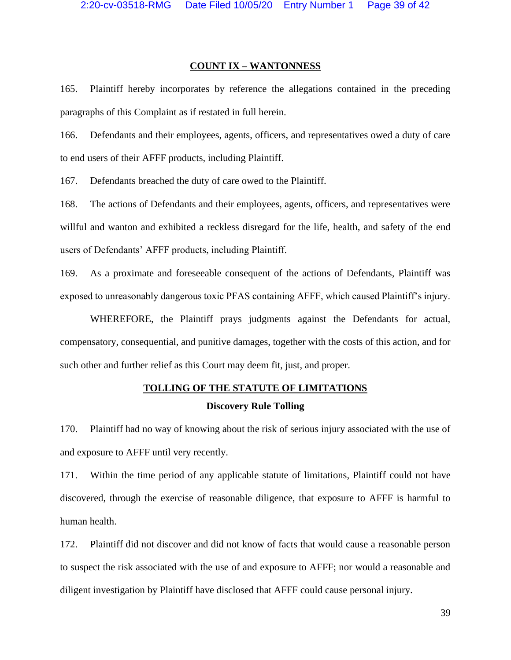# **COUNT IX – WANTONNESS**

165. Plaintiff hereby incorporates by reference the allegations contained in the preceding paragraphs of this Complaint as if restated in full herein.

166. Defendants and their employees, agents, officers, and representatives owed a duty of care to end users of their AFFF products, including Plaintiff.

167. Defendants breached the duty of care owed to the Plaintiff.

168. The actions of Defendants and their employees, agents, officers, and representatives were willful and wanton and exhibited a reckless disregard for the life, health, and safety of the end users of Defendants' AFFF products, including Plaintiff.

169. As a proximate and foreseeable consequent of the actions of Defendants, Plaintiff was exposed to unreasonably dangerous toxic PFAS containing AFFF, which caused Plaintiff's injury.

WHEREFORE, the Plaintiff prays judgments against the Defendants for actual, compensatory, consequential, and punitive damages, together with the costs of this action, and for such other and further relief as this Court may deem fit, just, and proper.

# **TOLLING OF THE STATUTE OF LIMITATIONS Discovery Rule Tolling**

170. Plaintiff had no way of knowing about the risk of serious injury associated with the use of and exposure to AFFF until very recently.

171. Within the time period of any applicable statute of limitations, Plaintiff could not have discovered, through the exercise of reasonable diligence, that exposure to AFFF is harmful to human health.

172. Plaintiff did not discover and did not know of facts that would cause a reasonable person to suspect the risk associated with the use of and exposure to AFFF; nor would a reasonable and diligent investigation by Plaintiff have disclosed that AFFF could cause personal injury.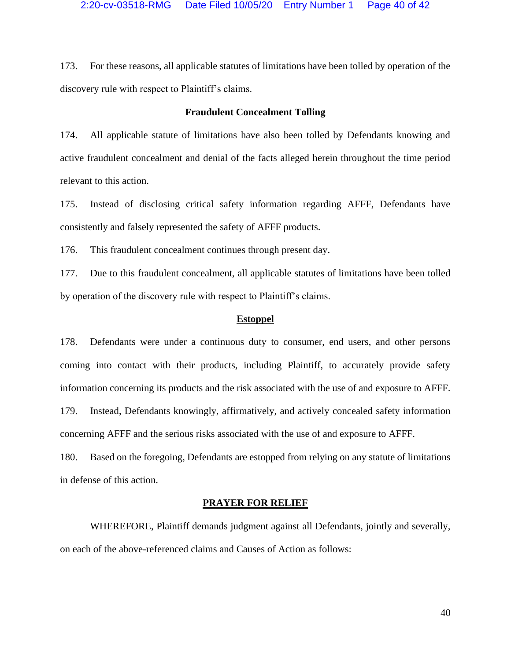173. For these reasons, all applicable statutes of limitations have been tolled by operation of the discovery rule with respect to Plaintiff's claims.

# **Fraudulent Concealment Tolling**

174. All applicable statute of limitations have also been tolled by Defendants knowing and active fraudulent concealment and denial of the facts alleged herein throughout the time period relevant to this action.

175. Instead of disclosing critical safety information regarding AFFF, Defendants have consistently and falsely represented the safety of AFFF products.

176. This fraudulent concealment continues through present day.

177. Due to this fraudulent concealment, all applicable statutes of limitations have been tolled by operation of the discovery rule with respect to Plaintiff's claims.

#### **Estoppel**

178. Defendants were under a continuous duty to consumer, end users, and other persons coming into contact with their products, including Plaintiff, to accurately provide safety information concerning its products and the risk associated with the use of and exposure to AFFF. 179. Instead, Defendants knowingly, affirmatively, and actively concealed safety information concerning AFFF and the serious risks associated with the use of and exposure to AFFF.

180. Based on the foregoing, Defendants are estopped from relying on any statute of limitations in defense of this action.

#### **PRAYER FOR RELIEF**

WHEREFORE, Plaintiff demands judgment against all Defendants, jointly and severally, on each of the above-referenced claims and Causes of Action as follows: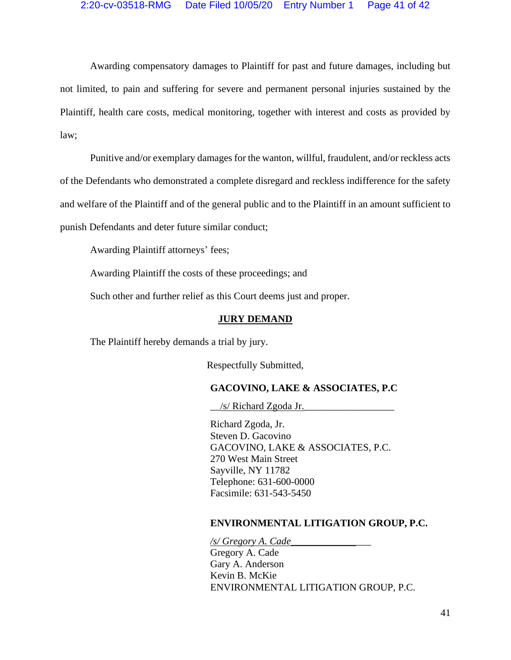Awarding compensatory damages to Plaintiff for past and future damages, including but not limited, to pain and suffering for severe and permanent personal injuries sustained by the Plaintiff, health care costs, medical monitoring, together with interest and costs as provided by law;

Punitive and/or exemplary damages for the wanton, willful, fraudulent, and/or reckless acts of the Defendants who demonstrated a complete disregard and reckless indifference for the safety and welfare of the Plaintiff and of the general public and to the Plaintiff in an amount sufficient to punish Defendants and deter future similar conduct;

Awarding Plaintiff attorneys' fees;

Awarding Plaintiff the costs of these proceedings; and

Such other and further relief as this Court deems just and proper.

#### **JURY DEMAND**

The Plaintiff hereby demands a trial by jury.

Respectfully Submitted,

# **GACOVINO, LAKE & ASSOCIATES, P.C**

 $\angle$ /s/ Richard Zgoda Jr. $\angle$ 

Richard Zgoda, Jr. Steven D. Gacovino GACOVINO, LAKE & ASSOCIATES, P.C. 270 West Main Street Sayville, NY 11782 Telephone: 631-600-0000 Facsimile: 631-543-5450

#### **ENVIRONMENTAL LITIGATION GROUP, P.C.**

*/s/ Gregory A. Cade\_\_\_\_\_\_\_\_\_\_\_\_\_\_\_\_*

Gregory A. Cade Gary A. Anderson Kevin B. McKie ENVIRONMENTAL LITIGATION GROUP, P.C.